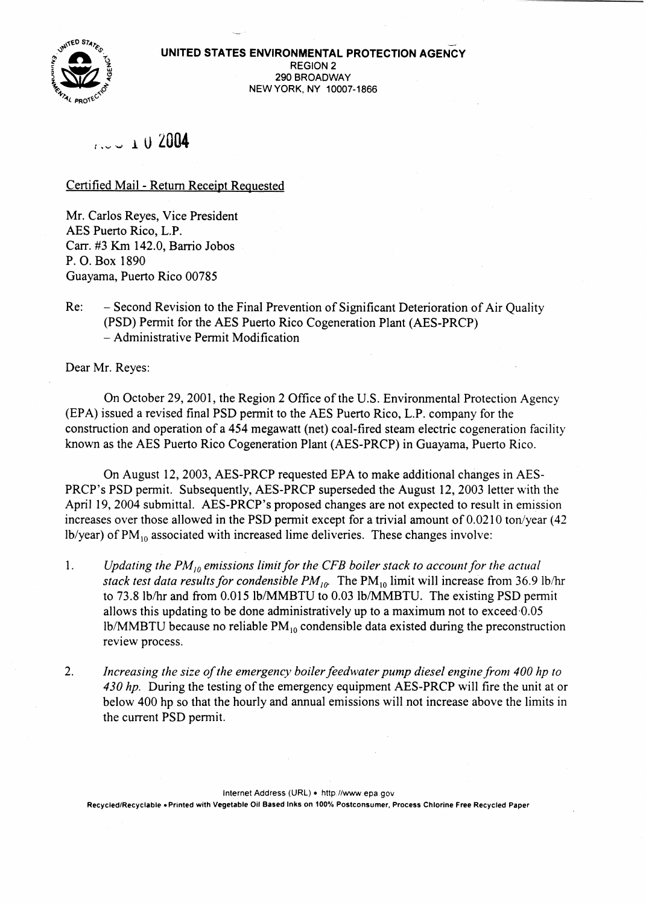

# *t,,..* <sup>1</sup> u2004

## Certified Mail - Return Receipt Reguested

Mr. Carlos Reyes, Vice President AES Puerto Rico, L.P. Carr. #3 Km 142.0, Barrio Jobos P. O. Box 1890 Guayama, Puerto Rico 00785

Re: - Second Revision to the Final Prevention of Significant Deterioration of Air Quality (PSD) Pennit for the AES Puerto Rico Cogeneration Plant (AES-PRCP) - Administrative Permit Modification

Dear Mr. Reyes:

On October 29, 2001, the Region 2 Office of the U.S. Environmental Protection Agency (EPA) issued a revised final PSD pennit to the AES Puerto Rico, L.P. company for the construction and operation of a 454 megawatt (net) coal-fired steam electric cogeneration facility known as the AES Puerto Rico Cogeneration Plant (AES-PRCP) in Guayama, Puerto Rico.

On August 12,2003, AES-PRCP requested EPA to make additional changes in AES-PRCP's PSD permit. Subsequently, AES-PRCP superseded the August 12, 2003 letter with the April 19, 2004 submittal. AES-PRCP's proposed changes are not expected to result in emission increases over those allowed in the PSD permit except for a trivial amount of  $0.0210$  ton/year (42)  $1b/year$ ) of  $PM_{10}$  associated with increased lime deliveries. These changes involve:

- *1. Updating the PM*<sup>10</sup> *emissions limit for the CFB boiler stack to accountfor the actual stack test data results for condensible*  $PM_{10}$ . The  $PM_{10}$  limit will increase from 36.9 lb/hr to 73.8 Iblhr and from 0.015 lb/MMBTU to 0.03 lb/MMBTU. The existing PSD permit allows this updating to be done administratively up to a maximum not to exceed-0.05 lb/MMBTU because no reliable  $PM_{10}$  condensible data existed during the preconstruction review process.
- 2. *Increasing the size ofthe emergency boilerfeedwater pump diesel enginefronl* 400 *hp to* 430 *hp.* During the testing of the emergency equipment AES-PRCP will fire the unit at or below 400 hp so that the hourly and annual emissions will not increase above the limits in the current PSD permit.

Internet Address (URL) . http://www.epa.gov Recycled/Recyclable. Printed with Vegetable Oil Based Inks on 100% Postconsumer, Process Chlorine Free Recycled Paper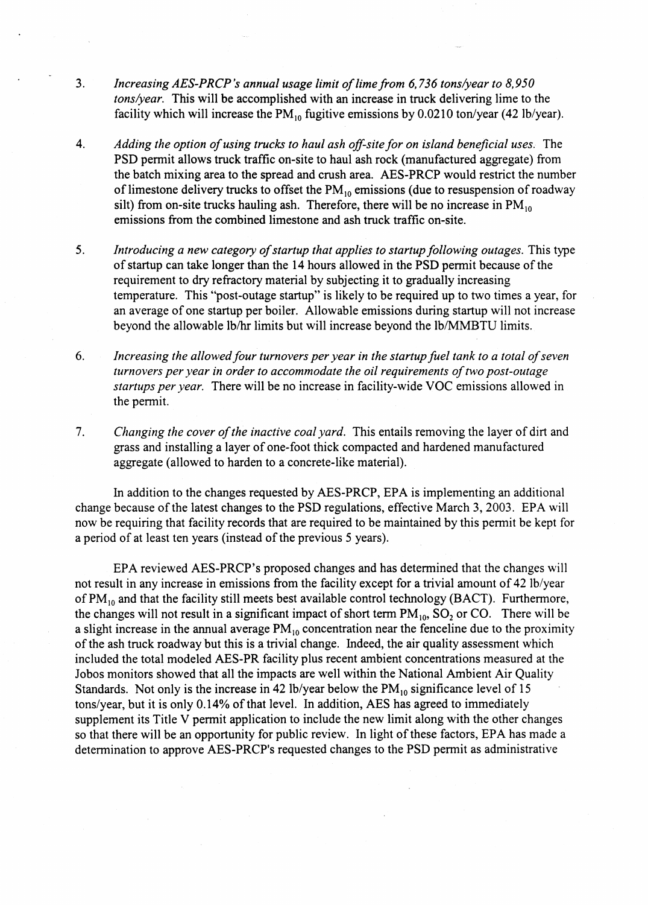- *3. Increasing AES-PRCP's annual usage limit oflime from* 6,736 *tons/year to 8,950 tons/year.* This will be accomplished with an increase in truck delivering lime to the facility which will increase the  $PM_{10}$  fugitive emissions by 0.0210 ton/year (42 lb/year).
- *4. Adding the option ofusing trucks to haul ash off-sitefor on island beneficial uses."* The PSD permit allows truck traffic on-site to haul ash rock (manufactured aggregate) from the batch mixing area to the spread and crush area. AES-PRCP would restrict the number of limestone delivery trucks to offset the  $PM_{10}$  emissions (due to resuspension of roadway silt) from on-site trucks hauling ash. Therefore, there will be no increase in  $PM_{10}$ emissions from the combined limestone and ash truck traffic on-site.
- 5. *Introducing a new category of startup that applies to startup following outages. This type* of startup can take longer than the 14 hours allowed in the PSD permit because of the requirement to dry refractory material by subjecting it to gradually increasing temperature. This "post-outage startup" is likely to be required up to two times a year, for an average of one startup per boiler. Allowable emissions during startup will not increase beyond the allowable lb/hr limits but will increase beyond the lb/MMBTU limits.
- *6. Increasing the allowedfour turnovers per year in the startup fuel tank to a total ofseven turnovers per }'ear in order to accommodate the oil requirements oftwo post-outage startups per year.* There will be no increase in facility-wide VOC emissions allowed in the pennit.
- *7. Changing the cover of the inactive coal yard.* This entails removing the layer of dirt and grass and installing a layer of one-foot thick compacted and hardened manufactured aggregate (allowed to harden to a concrete-like material).

In addition to the changes requested by AES-PRCP, EPA is implementing an additional change because of the latest changes to the PSD regulations, effective March 3, 2003. EPA will now be requiring that facility records that are required to be maintained by this permit be kept for a period of at least ten years (instead of the previous 5 years).

EPA reviewed AES-PRCP's proposed changes and has determined that the changes will not result in any increase in emissions from the facility except for a trivial amount of 42 lb/year of  $PM_{10}$  and that the facility still meets best available control technology (BACT). Furthermore, the changes will not result in a significant impact of short term  $PM_{10}$ ,  $SO_2$  or CO. There will be a slight increase in the annual average  $PM_{10}$  concentration near the fenceline due to the proximity of the ash truck roadway but this is a trivial change. Indeed, the air quality assessment which included the total modeled AES-PR facility plus recent ambient concentrations measured at the Jobos monitors showed that all the impacts are well within the National Ambient Air Quality Standards. Not only is the increase in 42 lb/year below the  $PM_{10}$  significance level of 15 tons/year, but it is only 0.14% of that level. In addition, AES has agreed to immediately supplement its Title V permit application to include the new limit along with the other changes so that there will be an opportunity for public review. In light of these factors, EPA has made a determination to approve AES-PRCP's requested changes to the PSD permit as administrative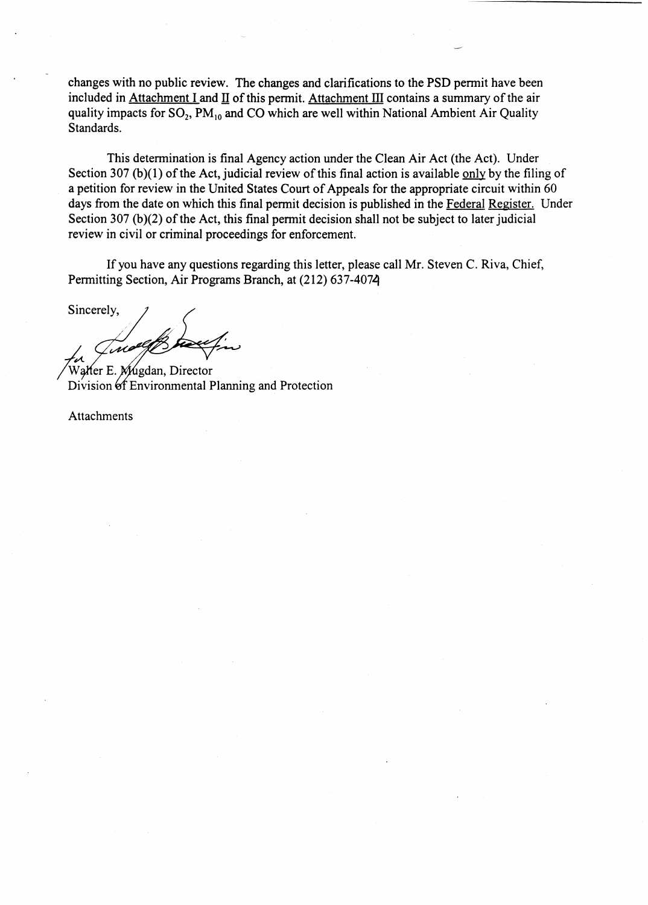changes with no public review. The changes and clarifications to the PSD permit have been included in Attachment I and  $II$  of this permit. Attachment III contains a summary of the air quality impacts for  $SO_2$ ,  $PM_{10}$  and CO which are well within National Ambient Air Quality Standards.

This determination is final Agency action under the Clean Air Act (the Act). Under Section 307 (b)(1) of the Act, judicial review of this final action is available only by the filing of a petition for review in the United States Court of Appeals for the appropriate circuit within 60 days from the date on which this final permit decision is published in the Federal Register. Under Section 307 (b)(2) of the Act, this final permit decision shall not be subject to later judicial review in civil or criminal proceedings for enforcement.

If you have any questions regarding this letter, please call Mr. Steven C. Riva, Chief, Pennitting Section, Air Programs Branch, at (212) 637-4074

Sincerely, *ta Tuce Gl*<br>Watter E. Mugdi

Division Environmental Planning and Protection Mugdan, Director

Attachments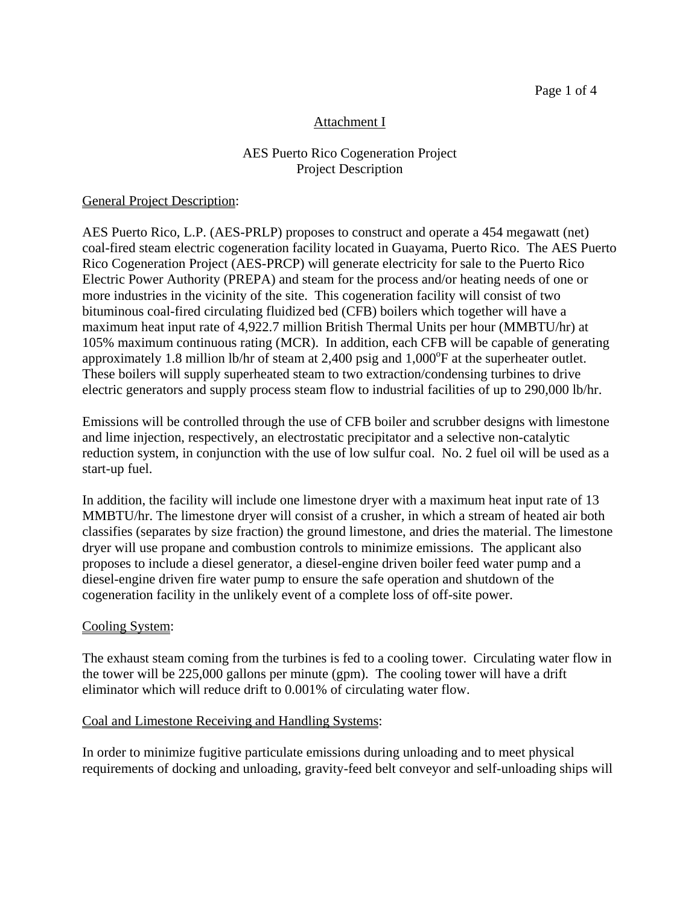## Attachment I

## AES Puerto Rico Cogeneration Project Project Description

#### General Project Description:

AES Puerto Rico, L.P. (AES-PRLP) proposes to construct and operate a 454 megawatt (net) coal-fired steam electric cogeneration facility located in Guayama, Puerto Rico. The AES Puerto Rico Cogeneration Project (AES-PRCP) will generate electricity for sale to the Puerto Rico Electric Power Authority (PREPA) and steam for the process and/or heating needs of one or more industries in the vicinity of the site. This cogeneration facility will consist of two bituminous coal-fired circulating fluidized bed (CFB) boilers which together will have a maximum heat input rate of 4,922.7 million British Thermal Units per hour (MMBTU/hr) at 105% maximum continuous rating (MCR). In addition, each CFB will be capable of generating approximately 1.8 million lb/hr of steam at 2,400 psig and  $1,000^{\circ}$ F at the superheater outlet. These boilers will supply superheated steam to two extraction/condensing turbines to drive electric generators and supply process steam flow to industrial facilities of up to 290,000 lb/hr.

Emissions will be controlled through the use of CFB boiler and scrubber designs with limestone and lime injection, respectively, an electrostatic precipitator and a selective non-catalytic reduction system, in conjunction with the use of low sulfur coal. No. 2 fuel oil will be used as a start-up fuel.

In addition, the facility will include one limestone dryer with a maximum heat input rate of 13 MMBTU/hr. The limestone dryer will consist of a crusher, in which a stream of heated air both classifies (separates by size fraction) the ground limestone, and dries the material. The limestone dryer will use propane and combustion controls to minimize emissions. The applicant also proposes to include a diesel generator, a diesel-engine driven boiler feed water pump and a diesel-engine driven fire water pump to ensure the safe operation and shutdown of the cogeneration facility in the unlikely event of a complete loss of off-site power.

#### Cooling System:

The exhaust steam coming from the turbines is fed to a cooling tower. Circulating water flow in the tower will be 225,000 gallons per minute (gpm). The cooling tower will have a drift eliminator which will reduce drift to 0.001% of circulating water flow.

#### Coal and Limestone Receiving and Handling Systems:

In order to minimize fugitive particulate emissions during unloading and to meet physical requirements of docking and unloading, gravity-feed belt conveyor and self-unloading ships will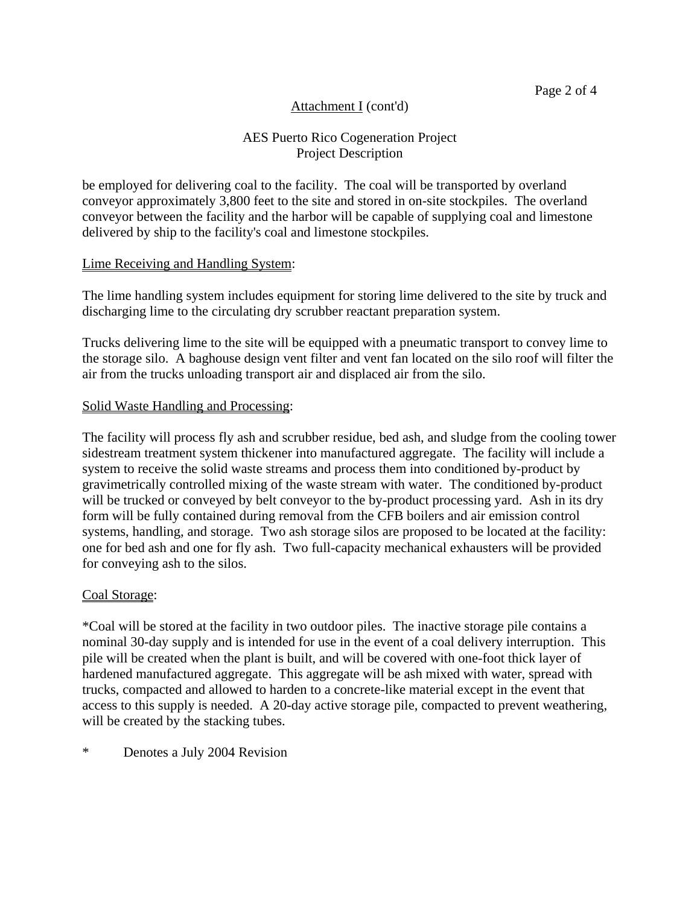## AES Puerto Rico Cogeneration Project Project Description

be employed for delivering coal to the facility. The coal will be transported by overland conveyor approximately 3,800 feet to the site and stored in on-site stockpiles. The overland conveyor between the facility and the harbor will be capable of supplying coal and limestone delivered by ship to the facility's coal and limestone stockpiles.

#### Lime Receiving and Handling System:

The lime handling system includes equipment for storing lime delivered to the site by truck and discharging lime to the circulating dry scrubber reactant preparation system.

Trucks delivering lime to the site will be equipped with a pneumatic transport to convey lime to the storage silo. A baghouse design vent filter and vent fan located on the silo roof will filter the air from the trucks unloading transport air and displaced air from the silo.

#### Solid Waste Handling and Processing:

The facility will process fly ash and scrubber residue, bed ash, and sludge from the cooling tower sidestream treatment system thickener into manufactured aggregate. The facility will include a system to receive the solid waste streams and process them into conditioned by-product by gravimetrically controlled mixing of the waste stream with water. The conditioned by-product will be trucked or conveyed by belt conveyor to the by-product processing yard. Ash in its dry form will be fully contained during removal from the CFB boilers and air emission control systems, handling, and storage. Two ash storage silos are proposed to be located at the facility: one for bed ash and one for fly ash. Two full-capacity mechanical exhausters will be provided for conveying ash to the silos.

#### Coal Storage:

\*Coal will be stored at the facility in two outdoor piles. The inactive storage pile contains a nominal 30-day supply and is intended for use in the event of a coal delivery interruption. This pile will be created when the plant is built, and will be covered with one-foot thick layer of hardened manufactured aggregate. This aggregate will be ash mixed with water, spread with trucks, compacted and allowed to harden to a concrete-like material except in the event that access to this supply is needed. A 20-day active storage pile, compacted to prevent weathering, will be created by the stacking tubes.

#### \* Denotes a July 2004 Revision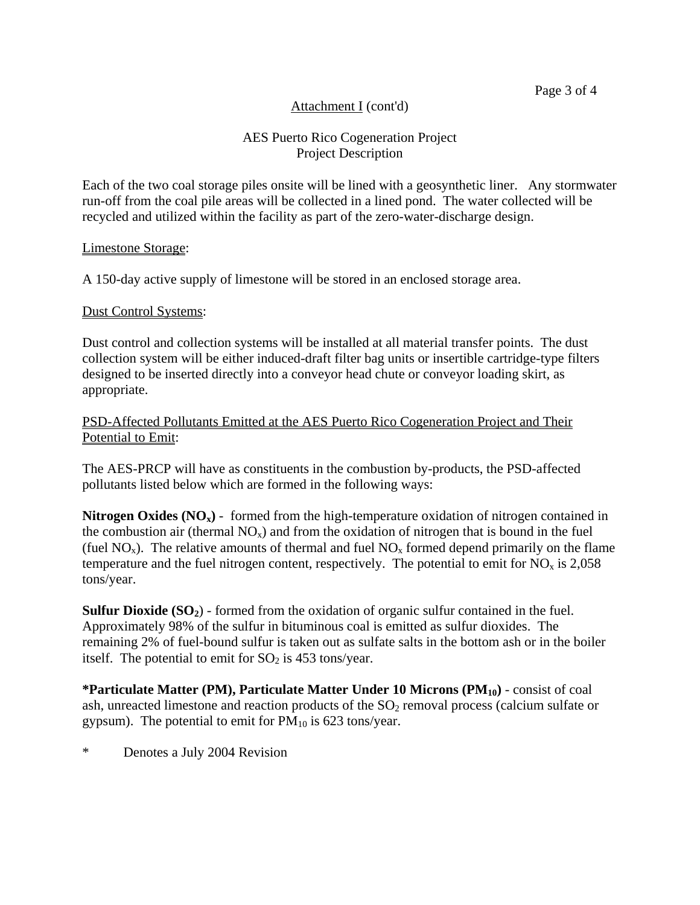## AES Puerto Rico Cogeneration Project Project Description

Each of the two coal storage piles onsite will be lined with a geosynthetic liner. Any stormwater run-off from the coal pile areas will be collected in a lined pond. The water collected will be recycled and utilized within the facility as part of the zero-water-discharge design.

#### Limestone Storage:

A 150-day active supply of limestone will be stored in an enclosed storage area.

#### Dust Control Systems:

Dust control and collection systems will be installed at all material transfer points. The dust collection system will be either induced-draft filter bag units or insertible cartridge-type filters designed to be inserted directly into a conveyor head chute or conveyor loading skirt, as appropriate.

#### PSD-Affected Pollutants Emitted at the AES Puerto Rico Cogeneration Project and Their Potential to Emit:

The AES-PRCP will have as constituents in the combustion by-products, the PSD-affected pollutants listed below which are formed in the following ways:

**Nitrogen Oxides (NO<sub>x</sub>)** - formed from the high-temperature oxidation of nitrogen contained in the combustion air (thermal  $NO<sub>x</sub>$ ) and from the oxidation of nitrogen that is bound in the fuel (fuel  $NO_x$ ). The relative amounts of thermal and fuel  $NO_x$  formed depend primarily on the flame temperature and the fuel nitrogen content, respectively. The potential to emit for  $NO<sub>x</sub>$  is 2,058 tons/year.

**Sulfur Dioxide (SO<sub>2</sub>)** - formed from the oxidation of organic sulfur contained in the fuel. Approximately 98% of the sulfur in bituminous coal is emitted as sulfur dioxides. The remaining 2% of fuel-bound sulfur is taken out as sulfate salts in the bottom ash or in the boiler itself. The potential to emit for  $SO_2$  is 453 tons/year.

**\*Particulate Matter (PM), Particulate Matter Under 10 Microns (PM10)** - consist of coal ash, unreacted limestone and reaction products of the  $SO<sub>2</sub>$  removal process (calcium sulfate or gypsum). The potential to emit for  $PM_{10}$  is 623 tons/year.

\* Denotes a July 2004 Revision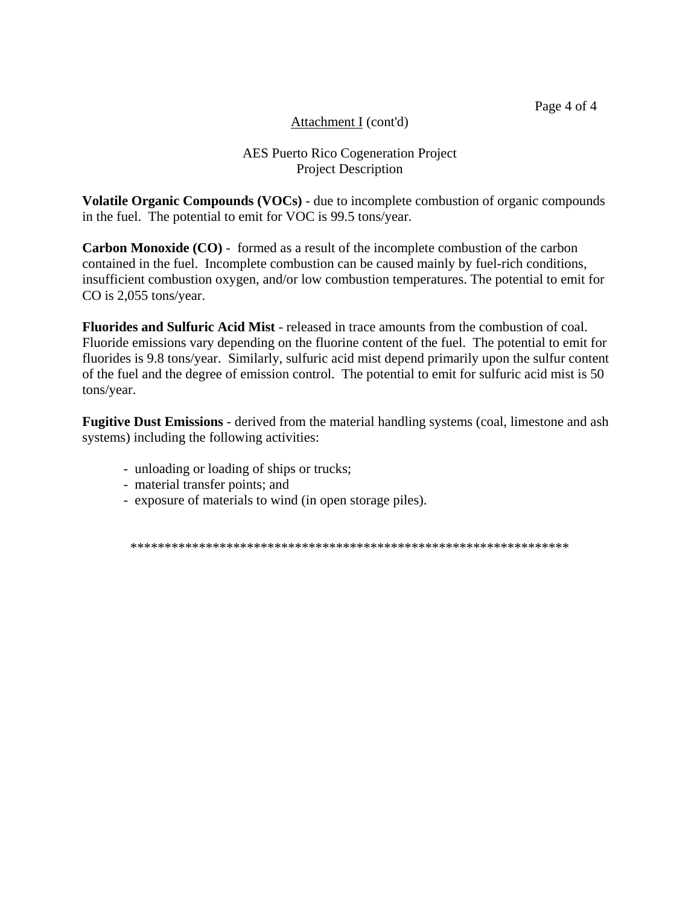Page 4 of 4

## Attachment I (cont'd)

## AES Puerto Rico Cogeneration Project Project Description

**Volatile Organic Compounds (VOCs)** - due to incomplete combustion of organic compounds in the fuel. The potential to emit for VOC is 99.5 tons/year.

**Carbon Monoxide (CO)** - formed as a result of the incomplete combustion of the carbon contained in the fuel. Incomplete combustion can be caused mainly by fuel-rich conditions, insufficient combustion oxygen, and/or low combustion temperatures. The potential to emit for CO is 2,055 tons/year.

**Fluorides and Sulfuric Acid Mist** - released in trace amounts from the combustion of coal. Fluoride emissions vary depending on the fluorine content of the fuel. The potential to emit for fluorides is 9.8 tons/year. Similarly, sulfuric acid mist depend primarily upon the sulfur content of the fuel and the degree of emission control. The potential to emit for sulfuric acid mist is 50 tons/year.

**Fugitive Dust Emissions** - derived from the material handling systems (coal, limestone and ash systems) including the following activities:

- unloading or loading of ships or trucks;
- material transfer points; and
- exposure of materials to wind (in open storage piles).

\*\*\*\*\*\*\*\*\*\*\*\*\*\*\*\*\*\*\*\*\*\*\*\*\*\*\*\*\*\*\*\*\*\*\*\*\*\*\*\*\*\*\*\*\*\*\*\*\*\*\*\*\*\*\*\*\*\*\*\*\*\*\*\*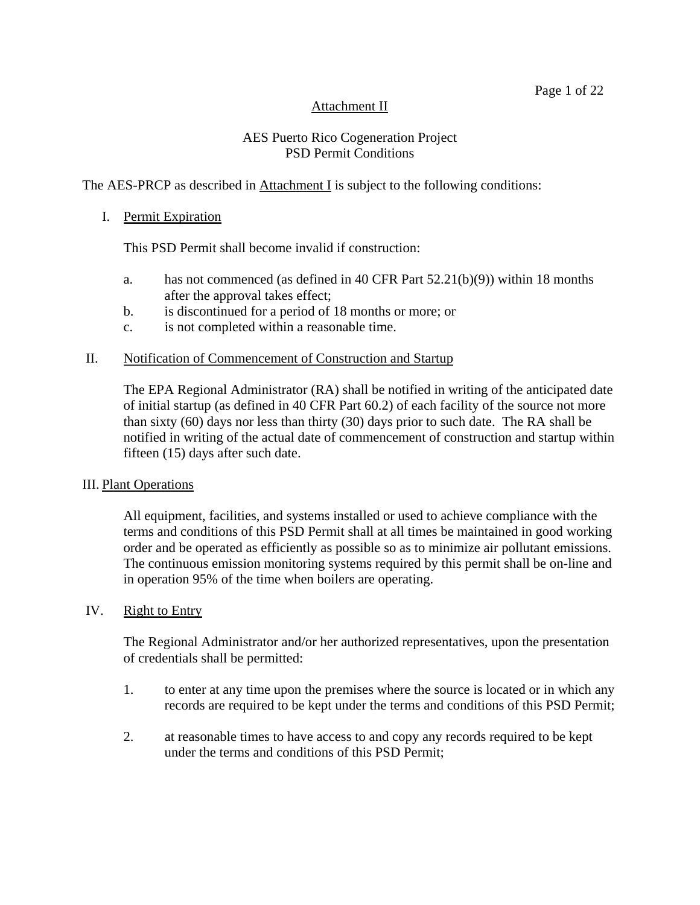## Attachment II

## AES Puerto Rico Cogeneration Project PSD Permit Conditions

## The AES-PRCP as described in Attachment I is subject to the following conditions:

#### I. Permit Expiration

This PSD Permit shall become invalid if construction:

- a. has not commenced (as defined in 40 CFR Part 52.21(b)(9)) within 18 months after the approval takes effect;
- b. is discontinued for a period of 18 months or more; or
- c. is not completed within a reasonable time.

#### II. Notification of Commencement of Construction and Startup

The EPA Regional Administrator (RA) shall be notified in writing of the anticipated date of initial startup (as defined in 40 CFR Part 60.2) of each facility of the source not more than sixty (60) days nor less than thirty (30) days prior to such date. The RA shall be notified in writing of the actual date of commencement of construction and startup within fifteen (15) days after such date.

#### III. Plant Operations

All equipment, facilities, and systems installed or used to achieve compliance with the terms and conditions of this PSD Permit shall at all times be maintained in good working order and be operated as efficiently as possible so as to minimize air pollutant emissions. The continuous emission monitoring systems required by this permit shall be on-line and in operation 95% of the time when boilers are operating.

#### IV. Right to Entry

The Regional Administrator and/or her authorized representatives, upon the presentation of credentials shall be permitted:

- 1. to enter at any time upon the premises where the source is located or in which any records are required to be kept under the terms and conditions of this PSD Permit;
- 2. at reasonable times to have access to and copy any records required to be kept under the terms and conditions of this PSD Permit;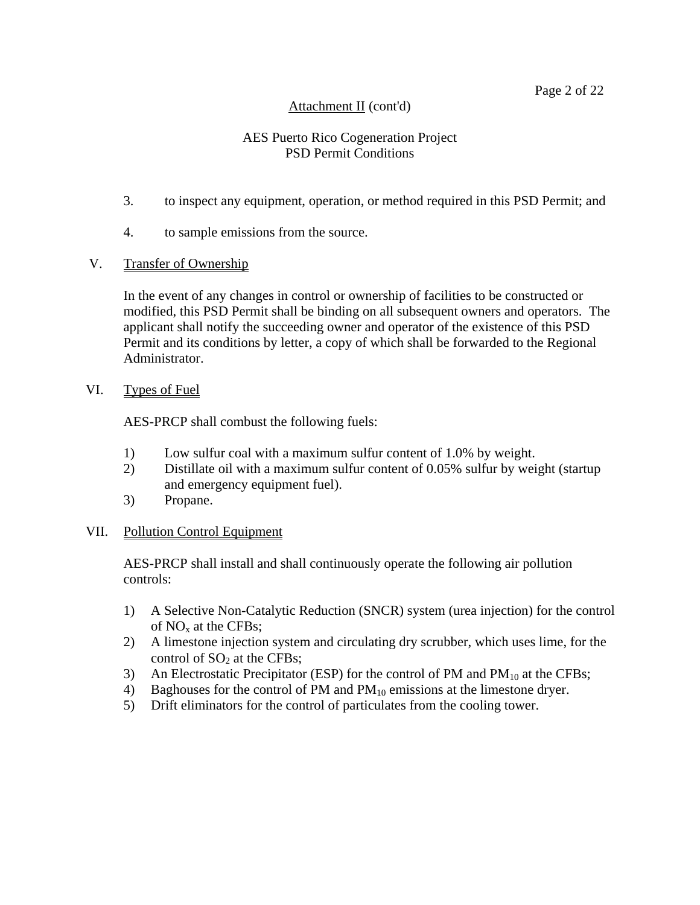#### Page 2 of 22

## Attachment II (cont'd)

## AES Puerto Rico Cogeneration Project PSD Permit Conditions

- 3. to inspect any equipment, operation, or method required in this PSD Permit; and
- 4. to sample emissions from the source.
- V. Transfer of Ownership

In the event of any changes in control or ownership of facilities to be constructed or modified, this PSD Permit shall be binding on all subsequent owners and operators. The applicant shall notify the succeeding owner and operator of the existence of this PSD Permit and its conditions by letter, a copy of which shall be forwarded to the Regional Administrator.

VI. Types of Fuel

AES-PRCP shall combust the following fuels:

- 1) Low sulfur coal with a maximum sulfur content of 1.0% by weight.
- 2) Distillate oil with a maximum sulfur content of 0.05% sulfur by weight (startup and emergency equipment fuel).
- 3) Propane.

#### VII. Pollution Control Equipment

AES-PRCP shall install and shall continuously operate the following air pollution controls:

- 1) A Selective Non-Catalytic Reduction (SNCR) system (urea injection) for the control of  $NO<sub>x</sub>$  at the CFBs;
- 2) A limestone injection system and circulating dry scrubber, which uses lime, for the control of  $SO<sub>2</sub>$  at the CFBs;
- 3) An Electrostatic Precipitator (ESP) for the control of PM and  $PM_{10}$  at the CFBs;
- 4) Baghouses for the control of PM and  $PM_{10}$  emissions at the limestone dryer.
- 5) Drift eliminators for the control of particulates from the cooling tower.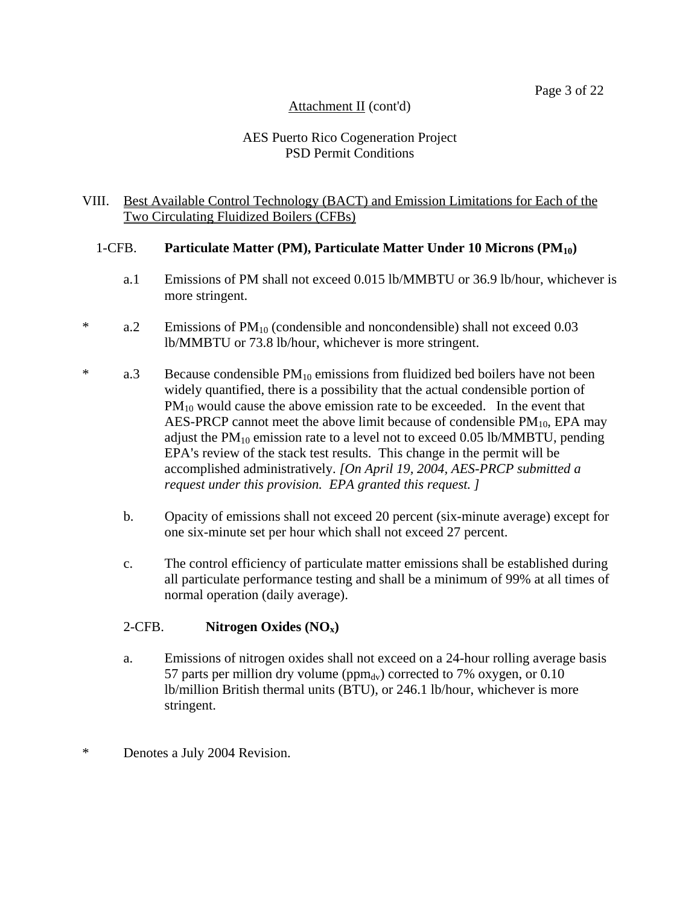## AES Puerto Rico Cogeneration Project PSD Permit Conditions

#### VIII. Best Available Control Technology (BACT) and Emission Limitations for Each of the Two Circulating Fluidized Boilers (CFBs)

## 1-CFB. **Particulate Matter (PM), Particulate Matter Under 10 Microns (PM10)**

- a.1 Emissions of PM shall not exceed 0.015 lb/MMBTU or 36.9 lb/hour, whichever is more stringent.
- \* a.2 Emissions of  $PM_{10}$  (condensible and noncondensible) shall not exceed 0.03 lb/MMBTU or 73.8 lb/hour, whichever is more stringent.
- \* a.3 Because condensible  $PM_{10}$  emissions from fluidized bed boilers have not been widely quantified, there is a possibility that the actual condensible portion of  $PM_{10}$  would cause the above emission rate to be exceeded. In the event that AES-PRCP cannot meet the above limit because of condensible  $PM_{10}$ , EPA may adjust the  $PM_{10}$  emission rate to a level not to exceed 0.05 lb/MMBTU, pending EPA's review of the stack test results. This change in the permit will be accomplished administratively. *[On April 19, 2004, AES-PRCP submitted a request under this provision. EPA granted this request. ]*
	- b. Opacity of emissions shall not exceed 20 percent (six-minute average) except for one six-minute set per hour which shall not exceed 27 percent.
	- c. The control efficiency of particulate matter emissions shall be established during all particulate performance testing and shall be a minimum of 99% at all times of normal operation (daily average).

## 2-CFB. **Nitrogen Oxides (NOx)**

- a. Emissions of nitrogen oxides shall not exceed on a 24-hour rolling average basis 57 parts per million dry volume ( $ppm_{dv}$ ) corrected to 7% oxygen, or 0.10 lb/million British thermal units (BTU), or 246.1 lb/hour, whichever is more stringent.
- \* Denotes a July 2004 Revision.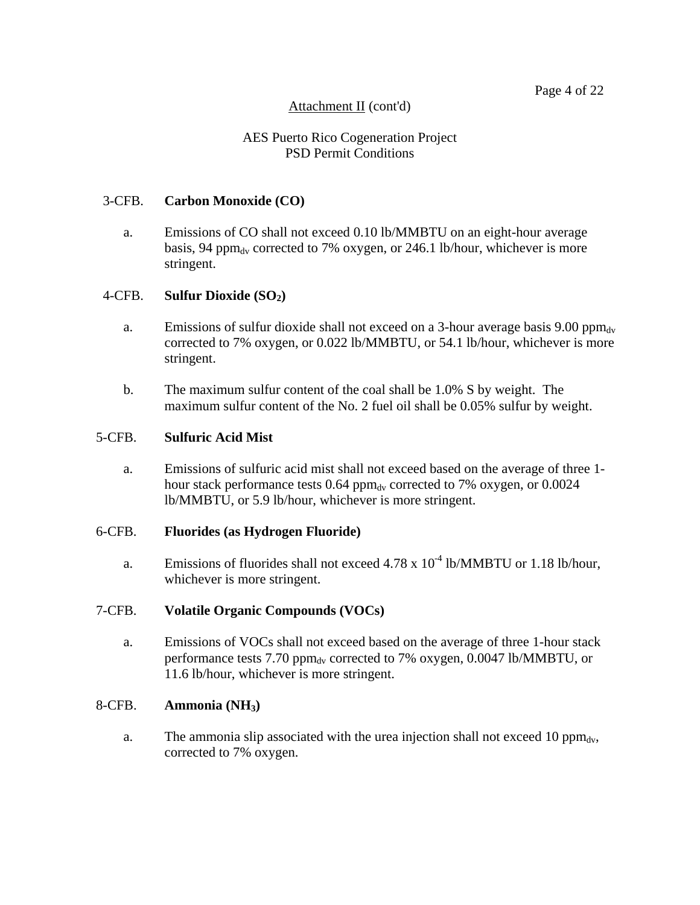## AES Puerto Rico Cogeneration Project PSD Permit Conditions

#### 3-CFB. **Carbon Monoxide (CO)**

a. Emissions of CO shall not exceed 0.10 lb/MMBTU on an eight-hour average basis, 94 ppm $_{\rm dv}$  corrected to 7% oxygen, or 246.1 lb/hour, whichever is more stringent.

#### 4-CFB. **Sulfur Dioxide (SO2)**

- a. Emissions of sulfur dioxide shall not exceed on a 3-hour average basis 9.00 ppm $_{\rm dv}$ corrected to 7% oxygen, or 0.022 lb/MMBTU, or 54.1 lb/hour, whichever is more stringent.
- b. The maximum sulfur content of the coal shall be 1.0% S by weight. The maximum sulfur content of the No. 2 fuel oil shall be 0.05% sulfur by weight.

#### 5-CFB. **Sulfuric Acid Mist**

a. Emissions of sulfuric acid mist shall not exceed based on the average of three 1 hour stack performance tests  $0.64$  ppm<sub>dv</sub> corrected to 7% oxygen, or  $0.0024$ lb/MMBTU, or 5.9 lb/hour, whichever is more stringent.

#### 6-CFB. **Fluorides (as Hydrogen Fluoride)**

a. Emissions of fluorides shall not exceed  $4.78 \times 10^{-4}$  lb/MMBTU or 1.18 lb/hour, whichever is more stringent.

#### 7-CFB. **Volatile Organic Compounds (VOCs)**

a. Emissions of VOCs shall not exceed based on the average of three 1-hour stack performance tests 7.70 ppm $_{\rm dv}$  corrected to 7% oxygen, 0.0047 lb/MMBTU, or 11.6 lb/hour, whichever is more stringent.

#### 8-CFB. **Ammonia (NH3)**

a. The ammonia slip associated with the urea injection shall not exceed 10  $\text{ppm}_{dv}$ , corrected to 7% oxygen.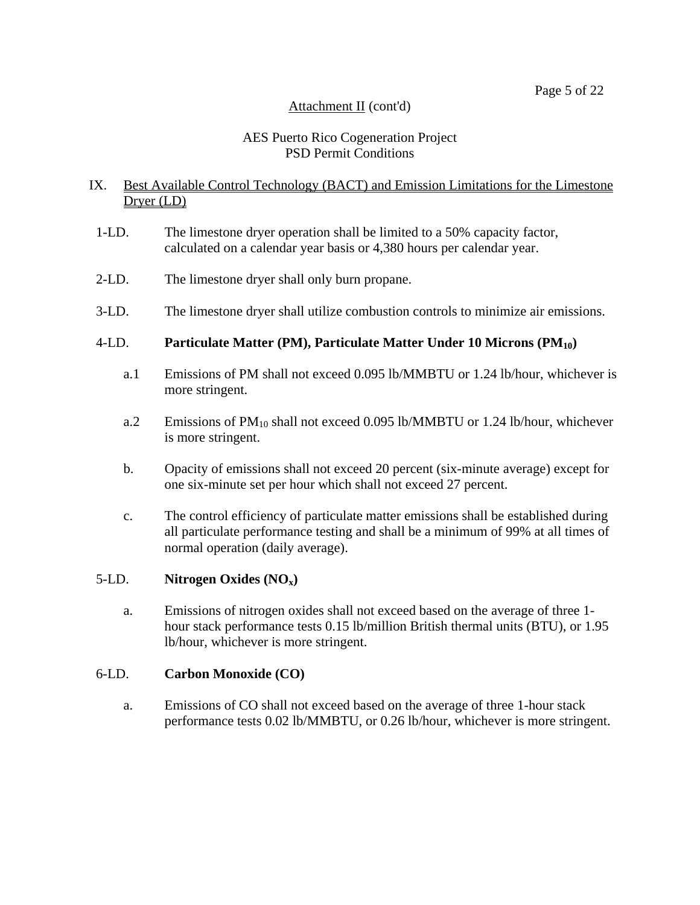## AES Puerto Rico Cogeneration Project PSD Permit Conditions

## IX. Best Available Control Technology (BACT) and Emission Limitations for the Limestone Dryer (LD)

- 1-LD. The limestone dryer operation shall be limited to a 50% capacity factor, calculated on a calendar year basis or 4,380 hours per calendar year.
- 2-LD. The limestone dryer shall only burn propane.
- 3-LD. The limestone dryer shall utilize combustion controls to minimize air emissions.

## 4-LD. **Particulate Matter (PM), Particulate Matter Under 10 Microns (PM10)**

- a.1 Emissions of PM shall not exceed 0.095 lb/MMBTU or 1.24 lb/hour, whichever is more stringent.
- a.2 Emissions of  $PM_{10}$  shall not exceed 0.095 lb/MMBTU or 1.24 lb/hour, whichever is more stringent.
- b. Opacity of emissions shall not exceed 20 percent (six-minute average) except for one six-minute set per hour which shall not exceed 27 percent.
- c. The control efficiency of particulate matter emissions shall be established during all particulate performance testing and shall be a minimum of 99% at all times of normal operation (daily average).

## 5-LD. **Nitrogen Oxides (NOx)**

a. Emissions of nitrogen oxides shall not exceed based on the average of three 1 hour stack performance tests 0.15 lb/million British thermal units (BTU), or 1.95 lb/hour, whichever is more stringent.

## 6-LD. **Carbon Monoxide (CO)**

a. Emissions of CO shall not exceed based on the average of three 1-hour stack performance tests 0.02 lb/MMBTU, or 0.26 lb/hour, whichever is more stringent.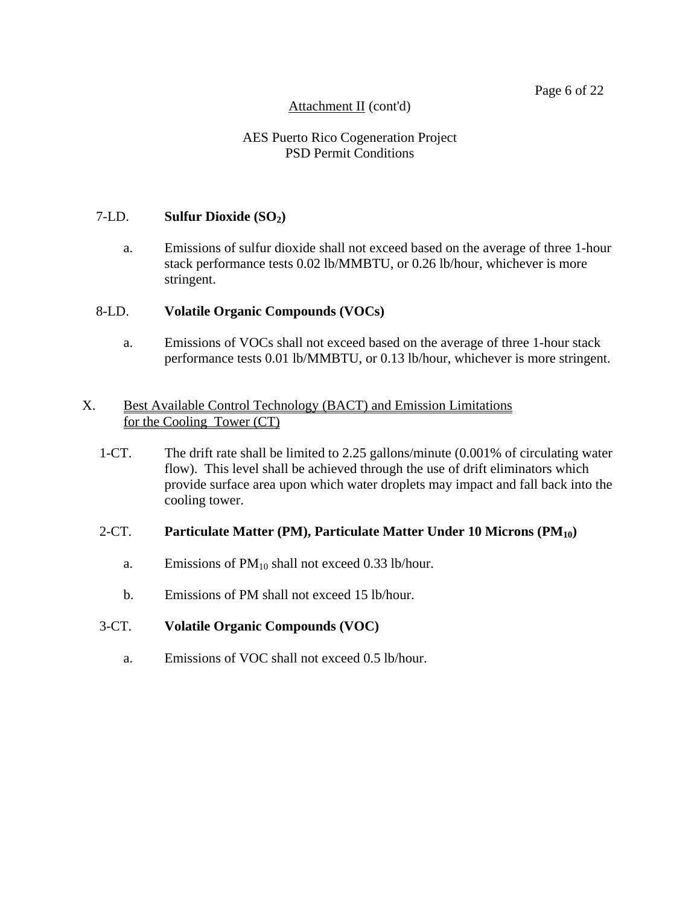#### Page 6 of 22

## Attachment II (cont'd)

## AES Puerto Rico Cogeneration Project PSD Permit Conditions

#### 7-LD. **Sulfur Dioxide (SO2)**

a. Emissions of sulfur dioxide shall not exceed based on the average of three 1-hour stack performance tests 0.02 lb/MMBTU, or 0.26 lb/hour, whichever is more stringent.

#### 8-LD. **Volatile Organic Compounds (VOCs)**

a. Emissions of VOCs shall not exceed based on the average of three 1-hour stack performance tests 0.01 lb/MMBTU, or 0.13 lb/hour, whichever is more stringent.

#### X. Best Available Control Technology (BACT) and Emission Limitations for the Cooling Tower (CT)

 1-CT. The drift rate shall be limited to 2.25 gallons/minute (0.001% of circulating water flow). This level shall be achieved through the use of drift eliminators which provide surface area upon which water droplets may impact and fall back into the cooling tower.

#### 2-CT. **Particulate Matter (PM), Particulate Matter Under 10 Microns (PM10)**

- a. Emissions of  $PM_{10}$  shall not exceed 0.33 lb/hour.
- b. Emissions of PM shall not exceed 15 lb/hour.

#### 3-CT. **Volatile Organic Compounds (VOC)**

a. Emissions of VOC shall not exceed 0.5 lb/hour.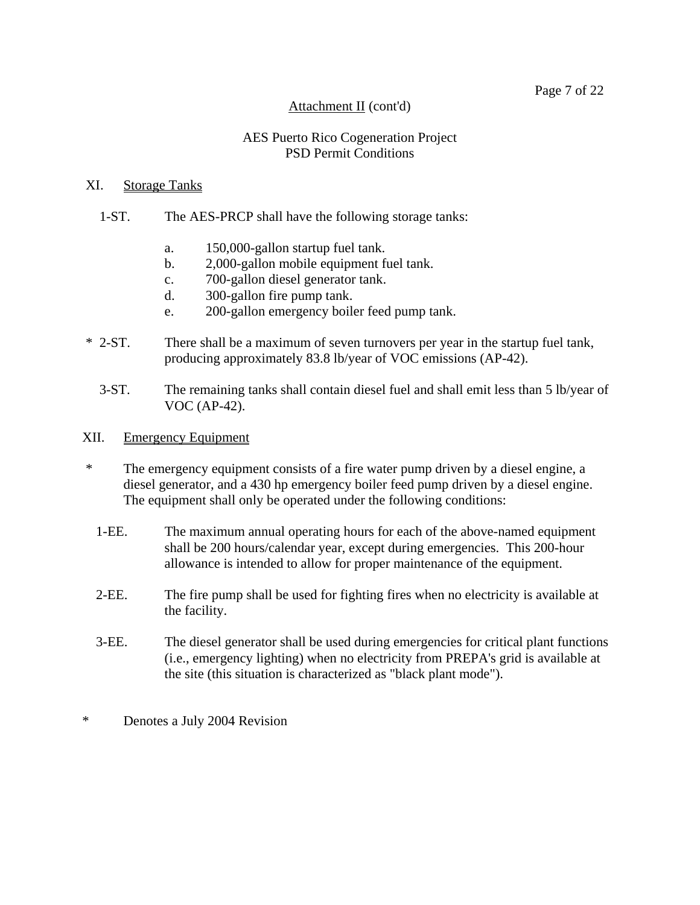#### Page 7 of 22

#### Attachment II (cont'd)

#### AES Puerto Rico Cogeneration Project PSD Permit Conditions

#### XI. Storage Tanks

#### 1-ST. The AES-PRCP shall have the following storage tanks:

- a. 150,000-gallon startup fuel tank.
- b. 2,000-gallon mobile equipment fuel tank.
- c. 700-gallon diesel generator tank.
- d. 300-gallon fire pump tank.
- e. 200-gallon emergency boiler feed pump tank.
- \* 2-ST. There shall be a maximum of seven turnovers per year in the startup fuel tank, producing approximately 83.8 lb/year of VOC emissions (AP-42).
	- 3-ST. The remaining tanks shall contain diesel fuel and shall emit less than 5 lb/year of VOC (AP-42).
- XII. Emergency Equipment
- \* The emergency equipment consists of a fire water pump driven by a diesel engine, a diesel generator, and a 430 hp emergency boiler feed pump driven by a diesel engine. The equipment shall only be operated under the following conditions:
	- 1-EE. The maximum annual operating hours for each of the above-named equipment shall be 200 hours/calendar year, except during emergencies. This 200-hour allowance is intended to allow for proper maintenance of the equipment.
	- 2-EE. The fire pump shall be used for fighting fires when no electricity is available at the facility.
	- 3-EE. The diesel generator shall be used during emergencies for critical plant functions (i.e., emergency lighting) when no electricity from PREPA's grid is available at the site (this situation is characterized as "black plant mode").
- \* Denotes a July 2004 Revision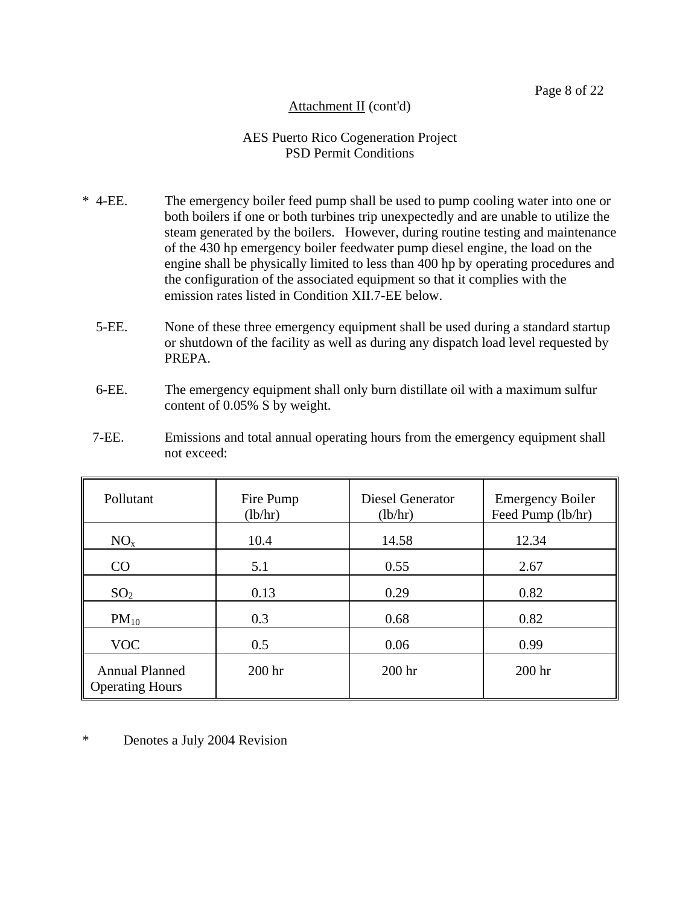## AES Puerto Rico Cogeneration Project PSD Permit Conditions

- \* 4-EE. The emergency boiler feed pump shall be used to pump cooling water into one or both boilers if one or both turbines trip unexpectedly and are unable to utilize the steam generated by the boilers. However, during routine testing and maintenance of the 430 hp emergency boiler feedwater pump diesel engine, the load on the engine shall be physically limited to less than 400 hp by operating procedures and the configuration of the associated equipment so that it complies with the emission rates listed in Condition XII.7-EE below.
	- 5-EE. None of these three emergency equipment shall be used during a standard startup or shutdown of the facility as well as during any dispatch load level requested by PREPA.
	- 6-EE. The emergency equipment shall only burn distillate oil with a maximum sulfur content of 0.05% S by weight.
	- 7-EE. Emissions and total annual operating hours from the emergency equipment shall not exceed:

| Pollutant                                       | Fire Pump<br>(lb/hr) | <b>Diesel Generator</b><br>(lb/hr) | <b>Emergency Boiler</b><br>Feed Pump (lb/hr) |  |
|-------------------------------------------------|----------------------|------------------------------------|----------------------------------------------|--|
| $NO_{x}$                                        | 10.4                 | 14.58                              | 12.34                                        |  |
| CO                                              | 5.1                  | 0.55                               | 2.67                                         |  |
| SO <sub>2</sub>                                 | 0.13                 | 0.29                               | 0.82                                         |  |
| $PM_{10}$                                       | 0.3                  | 0.68                               | 0.82                                         |  |
| <b>VOC</b>                                      | 0.5                  | 0.06                               | 0.99                                         |  |
| <b>Annual Planned</b><br><b>Operating Hours</b> | 200 <sub>hr</sub>    | 200 <sub>hr</sub>                  | 200 <sub>hr</sub>                            |  |

\* Denotes a July 2004 Revision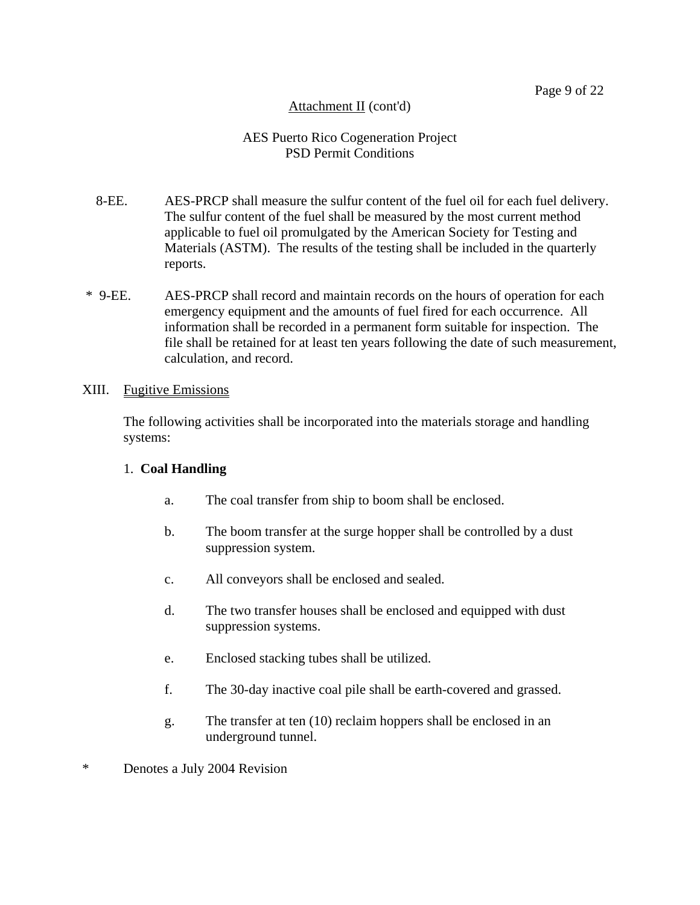## AES Puerto Rico Cogeneration Project PSD Permit Conditions

- 8-EE. AES-PRCP shall measure the sulfur content of the fuel oil for each fuel delivery. The sulfur content of the fuel shall be measured by the most current method applicable to fuel oil promulgated by the American Society for Testing and Materials (ASTM). The results of the testing shall be included in the quarterly reports.
- \* 9-EE. AES-PRCP shall record and maintain records on the hours of operation for each emergency equipment and the amounts of fuel fired for each occurrence. All information shall be recorded in a permanent form suitable for inspection. The file shall be retained for at least ten years following the date of such measurement, calculation, and record.

## XIII. Fugitive Emissions

The following activities shall be incorporated into the materials storage and handling systems:

## 1. **Coal Handling**

- a. The coal transfer from ship to boom shall be enclosed.
- b. The boom transfer at the surge hopper shall be controlled by a dust suppression system.
- c. All conveyors shall be enclosed and sealed.
- d. The two transfer houses shall be enclosed and equipped with dust suppression systems.
- e. Enclosed stacking tubes shall be utilized.
- f. The 30-day inactive coal pile shall be earth-covered and grassed.
- g. The transfer at ten (10) reclaim hoppers shall be enclosed in an underground tunnel.
- \* Denotes a July 2004 Revision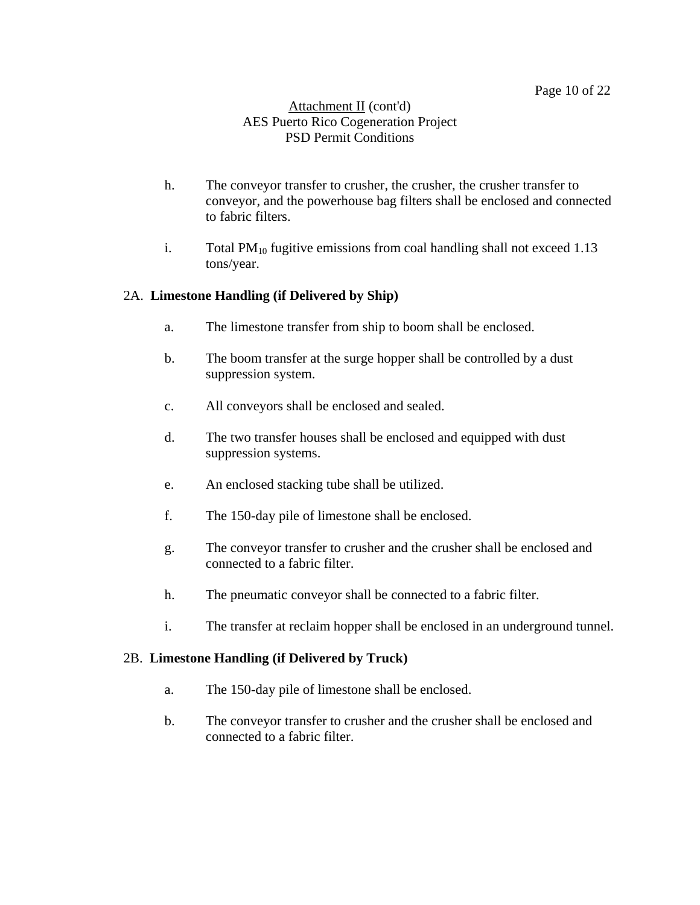#### Attachment II (cont'd) AES Puerto Rico Cogeneration Project PSD Permit Conditions

- h. The conveyor transfer to crusher, the crusher, the crusher transfer to conveyor, and the powerhouse bag filters shall be enclosed and connected to fabric filters.
- i. Total  $PM_{10}$  fugitive emissions from coal handling shall not exceed 1.13 tons/year.

## 2A. **Limestone Handling (if Delivered by Ship)**

- a. The limestone transfer from ship to boom shall be enclosed.
- b. The boom transfer at the surge hopper shall be controlled by a dust suppression system.
- c. All conveyors shall be enclosed and sealed.
- d. The two transfer houses shall be enclosed and equipped with dust suppression systems.
- e. An enclosed stacking tube shall be utilized.
- f. The 150-day pile of limestone shall be enclosed.
- g. The conveyor transfer to crusher and the crusher shall be enclosed and connected to a fabric filter.
- h. The pneumatic conveyor shall be connected to a fabric filter.
- i. The transfer at reclaim hopper shall be enclosed in an underground tunnel.

## 2B. **Limestone Handling (if Delivered by Truck)**

- a. The 150-day pile of limestone shall be enclosed.
- b. The conveyor transfer to crusher and the crusher shall be enclosed and connected to a fabric filter.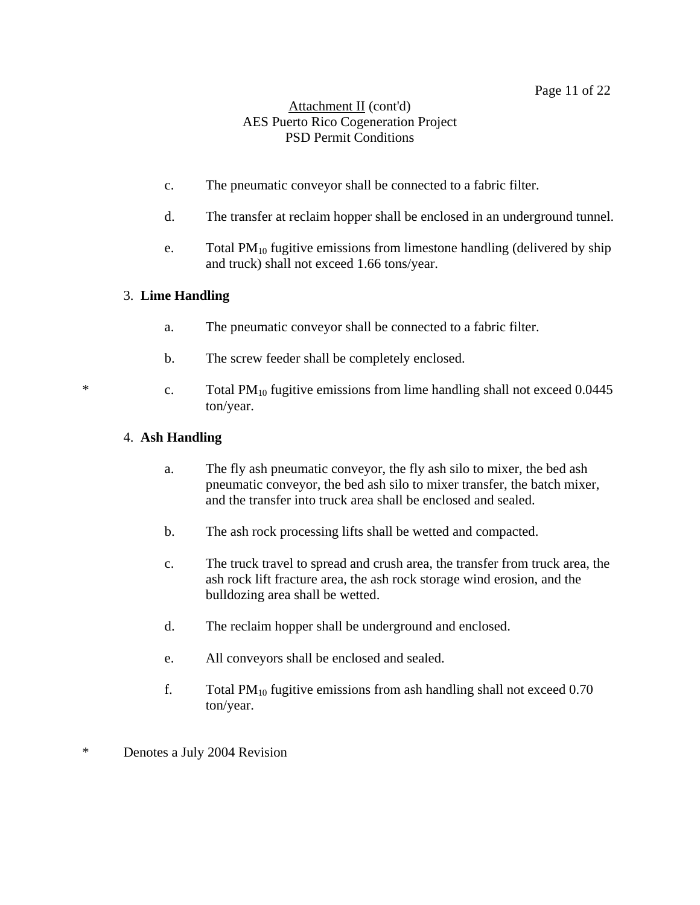## Attachment II (cont'd) AES Puerto Rico Cogeneration Project PSD Permit Conditions

- c. The pneumatic conveyor shall be connected to a fabric filter.
- d. The transfer at reclaim hopper shall be enclosed in an underground tunnel.
- e. Total  $PM_{10}$  fugitive emissions from limestone handling (delivered by ship and truck) shall not exceed 1.66 tons/year.

## 3. **Lime Handling**

- a. The pneumatic conveyor shall be connected to a fabric filter.
- b. The screw feeder shall be completely enclosed.
- \* c. Total  $PM_{10}$  fugitive emissions from lime handling shall not exceed 0.0445 ton/year.

## 4. **Ash Handling**

- a. The fly ash pneumatic conveyor, the fly ash silo to mixer, the bed ash pneumatic conveyor, the bed ash silo to mixer transfer, the batch mixer, and the transfer into truck area shall be enclosed and sealed.
- b. The ash rock processing lifts shall be wetted and compacted.
- c. The truck travel to spread and crush area, the transfer from truck area, the ash rock lift fracture area, the ash rock storage wind erosion, and the bulldozing area shall be wetted.
- d. The reclaim hopper shall be underground and enclosed.
- e. All conveyors shall be enclosed and sealed.
- f. Total  $PM_{10}$  fugitive emissions from ash handling shall not exceed 0.70 ton/year.
- \* Denotes a July 2004 Revision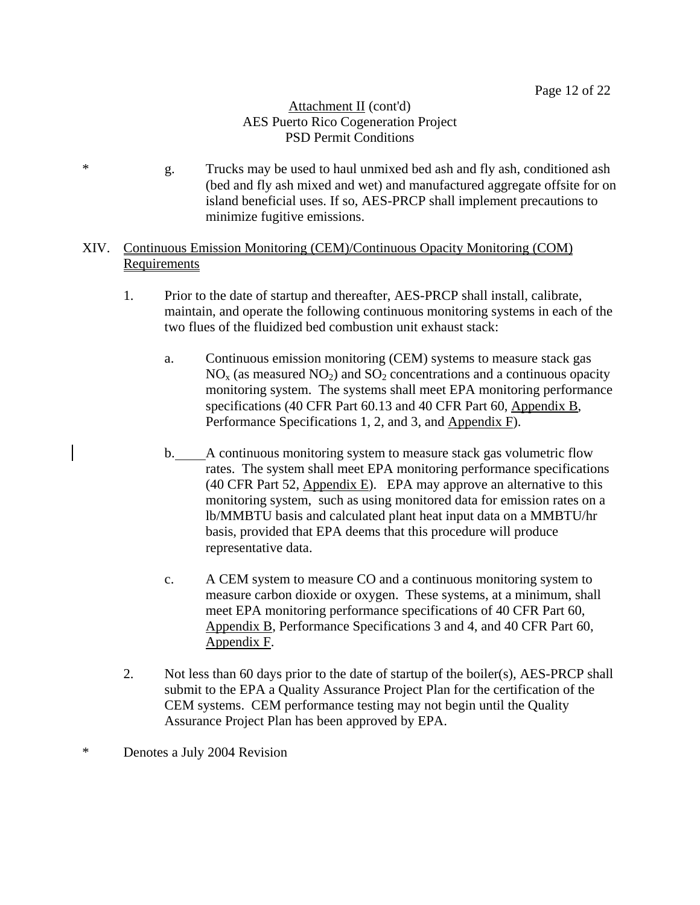## Attachment II (cont'd) AES Puerto Rico Cogeneration Project PSD Permit Conditions

\* g. Trucks may be used to haul unmixed bed ash and fly ash, conditioned ash (bed and fly ash mixed and wet) and manufactured aggregate offsite for on island beneficial uses. If so, AES-PRCP shall implement precautions to minimize fugitive emissions.

## XIV. Continuous Emission Monitoring (CEM)/Continuous Opacity Monitoring (COM) Requirements

- 1. Prior to the date of startup and thereafter, AES-PRCP shall install, calibrate, maintain, and operate the following continuous monitoring systems in each of the two flues of the fluidized bed combustion unit exhaust stack:
	- a. Continuous emission monitoring (CEM) systems to measure stack gas  $NO<sub>x</sub>$  (as measured  $NO<sub>2</sub>$ ) and  $SO<sub>2</sub>$  concentrations and a continuous opacity monitoring system. The systems shall meet EPA monitoring performance specifications (40 CFR Part 60.13 and 40 CFR Part 60, Appendix B, Performance Specifications 1, 2, and 3, and Appendix F).
	- b. A continuous monitoring system to measure stack gas volumetric flow rates. The system shall meet EPA monitoring performance specifications (40 CFR Part 52, Appendix E). EPA may approve an alternative to this monitoring system, such as using monitored data for emission rates on a lb/MMBTU basis and calculated plant heat input data on a MMBTU/hr basis, provided that EPA deems that this procedure will produce representative data.
	- c. A CEM system to measure CO and a continuous monitoring system to measure carbon dioxide or oxygen. These systems, at a minimum, shall meet EPA monitoring performance specifications of 40 CFR Part 60, Appendix B, Performance Specifications 3 and 4, and 40 CFR Part 60, Appendix F.
- 2. Not less than 60 days prior to the date of startup of the boiler(s), AES-PRCP shall submit to the EPA a Quality Assurance Project Plan for the certification of the CEM systems. CEM performance testing may not begin until the Quality Assurance Project Plan has been approved by EPA.
- \* Denotes a July 2004 Revision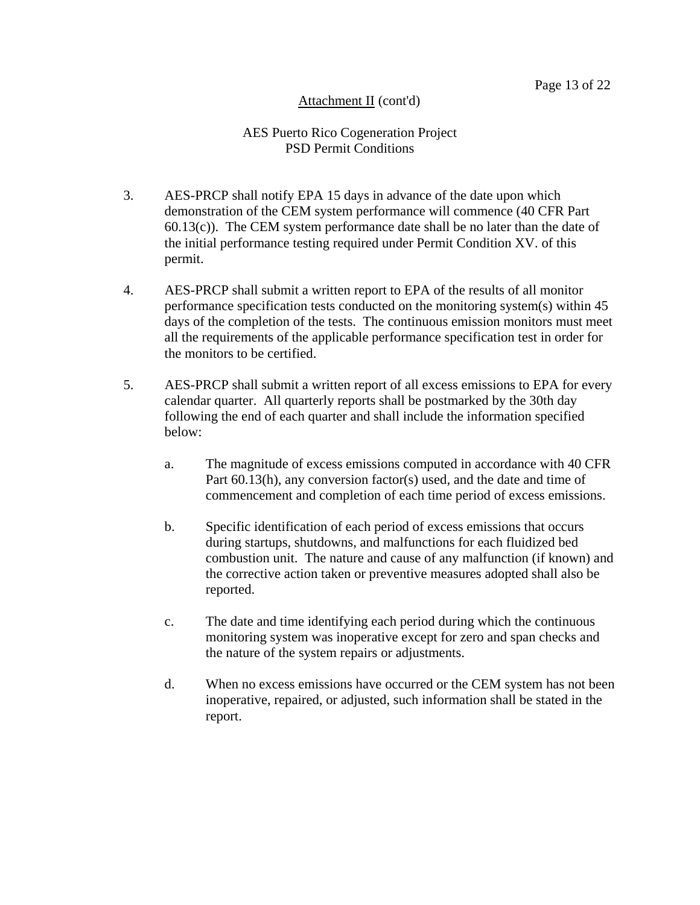## AES Puerto Rico Cogeneration Project PSD Permit Conditions

- 3. AES-PRCP shall notify EPA 15 days in advance of the date upon which demonstration of the CEM system performance will commence (40 CFR Part  $60.13(c)$ . The CEM system performance date shall be no later than the date of the initial performance testing required under Permit Condition XV. of this permit.
- 4. AES-PRCP shall submit a written report to EPA of the results of all monitor performance specification tests conducted on the monitoring system(s) within 45 days of the completion of the tests. The continuous emission monitors must meet all the requirements of the applicable performance specification test in order for the monitors to be certified.
- 5. AES-PRCP shall submit a written report of all excess emissions to EPA for every calendar quarter. All quarterly reports shall be postmarked by the 30th day following the end of each quarter and shall include the information specified below:
	- a. The magnitude of excess emissions computed in accordance with 40 CFR Part 60.13(h), any conversion factor(s) used, and the date and time of commencement and completion of each time period of excess emissions.
	- b. Specific identification of each period of excess emissions that occurs during startups, shutdowns, and malfunctions for each fluidized bed combustion unit. The nature and cause of any malfunction (if known) and the corrective action taken or preventive measures adopted shall also be reported.
	- c. The date and time identifying each period during which the continuous monitoring system was inoperative except for zero and span checks and the nature of the system repairs or adjustments.
	- d. When no excess emissions have occurred or the CEM system has not been inoperative, repaired, or adjusted, such information shall be stated in the report.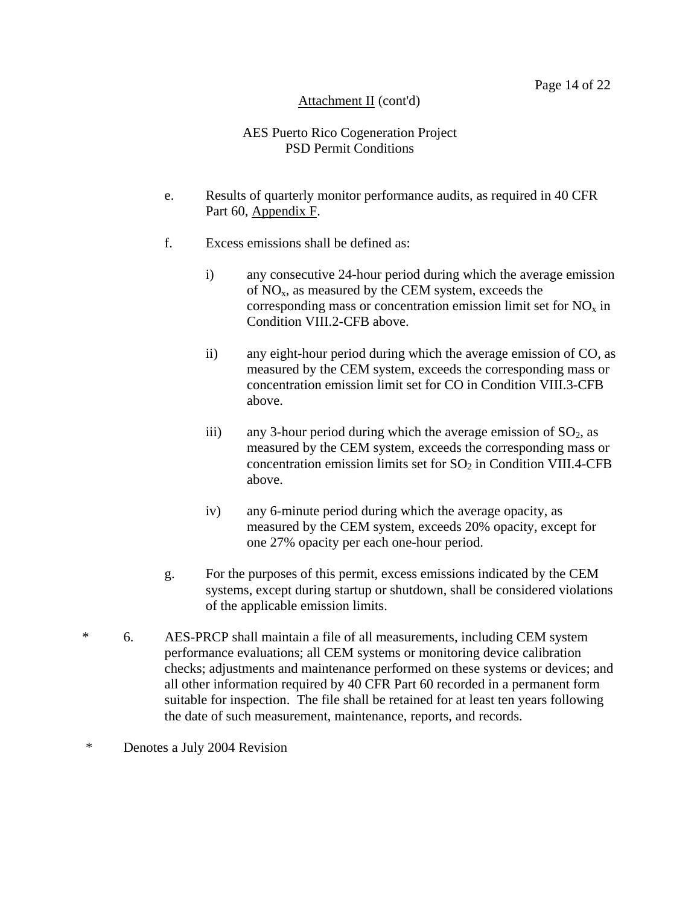## AES Puerto Rico Cogeneration Project PSD Permit Conditions

- e. Results of quarterly monitor performance audits, as required in 40 CFR Part 60, Appendix F.
- f. Excess emissions shall be defined as:
	- i) any consecutive 24-hour period during which the average emission of  $NO<sub>x</sub>$ , as measured by the CEM system, exceeds the corresponding mass or concentration emission limit set for  $NO<sub>x</sub>$  in Condition VIII.2-CFB above.
	- ii) any eight-hour period during which the average emission of CO, as measured by the CEM system, exceeds the corresponding mass or concentration emission limit set for CO in Condition VIII.3-CFB above.
	- iii) any 3-hour period during which the average emission of  $SO_2$ , as measured by the CEM system, exceeds the corresponding mass or concentration emission limits set for  $SO<sub>2</sub>$  in Condition VIII.4-CFB above.
	- iv) any 6-minute period during which the average opacity, as measured by the CEM system, exceeds 20% opacity, except for one 27% opacity per each one-hour period.
- g. For the purposes of this permit, excess emissions indicated by the CEM systems, except during startup or shutdown, shall be considered violations of the applicable emission limits.
- \* 6. AES-PRCP shall maintain a file of all measurements, including CEM system performance evaluations; all CEM systems or monitoring device calibration checks; adjustments and maintenance performed on these systems or devices; and all other information required by 40 CFR Part 60 recorded in a permanent form suitable for inspection. The file shall be retained for at least ten years following the date of such measurement, maintenance, reports, and records.
- \* Denotes a July 2004 Revision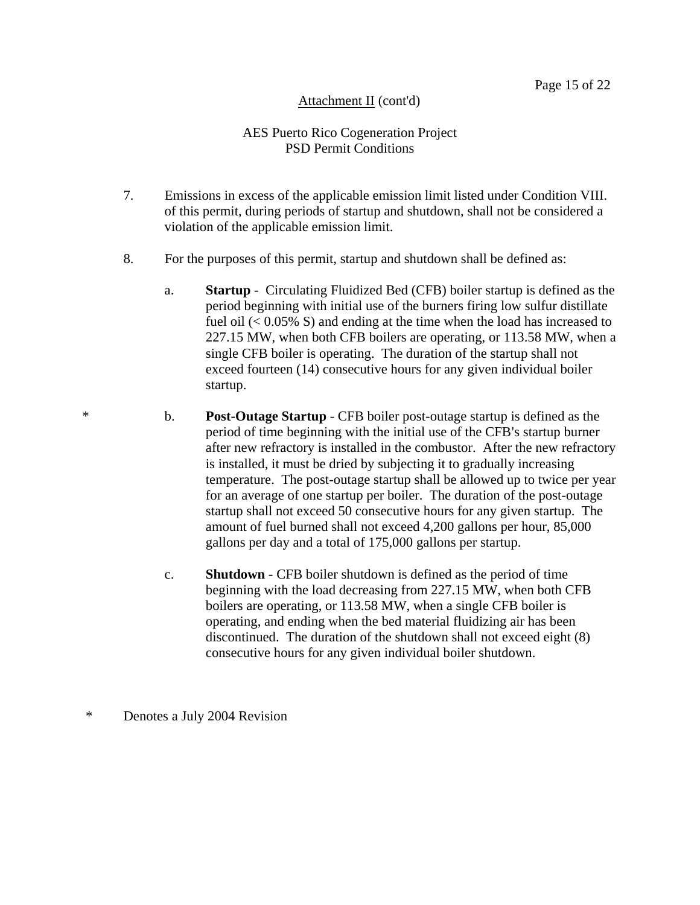## AES Puerto Rico Cogeneration Project PSD Permit Conditions

- 7. Emissions in excess of the applicable emission limit listed under Condition VIII. of this permit, during periods of startup and shutdown, shall not be considered a violation of the applicable emission limit.
- 8. For the purposes of this permit, startup and shutdown shall be defined as:
	- a. **Startup** Circulating Fluidized Bed (CFB) boiler startup is defined as the period beginning with initial use of the burners firing low sulfur distillate fuel oil  $(< 0.05\%$  S) and ending at the time when the load has increased to 227.15 MW, when both CFB boilers are operating, or 113.58 MW, when a single CFB boiler is operating. The duration of the startup shall not exceed fourteen (14) consecutive hours for any given individual boiler startup.
- \* b. **Post-Outage Startup** CFB boiler post-outage startup is defined as the period of time beginning with the initial use of the CFB's startup burner after new refractory is installed in the combustor. After the new refractory is installed, it must be dried by subjecting it to gradually increasing temperature. The post-outage startup shall be allowed up to twice per year for an average of one startup per boiler. The duration of the post-outage startup shall not exceed 50 consecutive hours for any given startup. The amount of fuel burned shall not exceed 4,200 gallons per hour, 85,000 gallons per day and a total of 175,000 gallons per startup.
	- c. **Shutdown** CFB boiler shutdown is defined as the period of time beginning with the load decreasing from 227.15 MW, when both CFB boilers are operating, or 113.58 MW, when a single CFB boiler is operating, and ending when the bed material fluidizing air has been discontinued. The duration of the shutdown shall not exceed eight (8) consecutive hours for any given individual boiler shutdown.

## \* Denotes a July 2004 Revision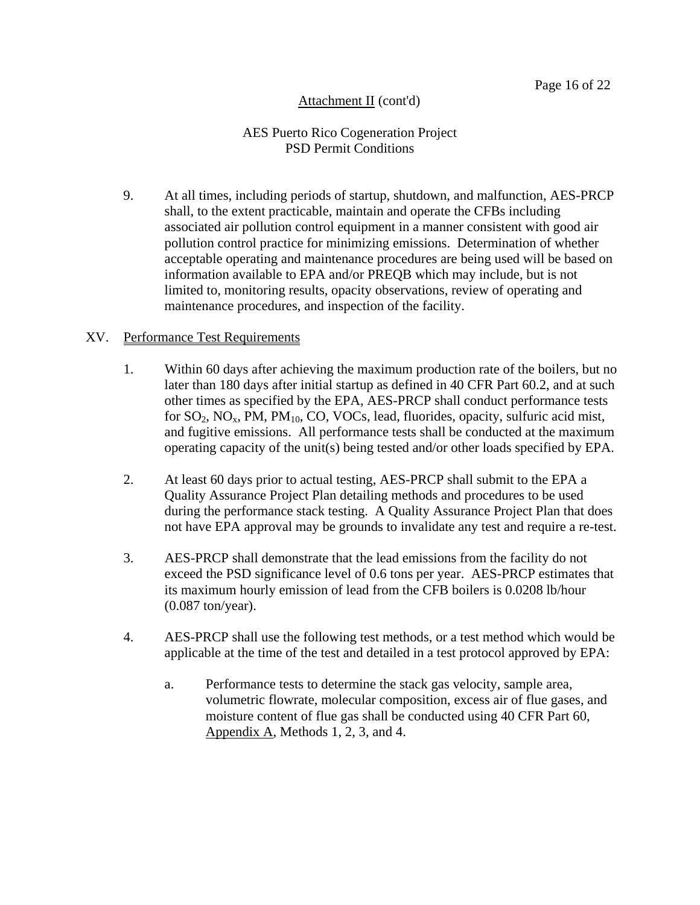## AES Puerto Rico Cogeneration Project PSD Permit Conditions

 9. At all times, including periods of startup, shutdown, and malfunction, AES-PRCP shall, to the extent practicable, maintain and operate the CFBs including associated air pollution control equipment in a manner consistent with good air pollution control practice for minimizing emissions. Determination of whether acceptable operating and maintenance procedures are being used will be based on information available to EPA and/or PREQB which may include, but is not limited to, monitoring results, opacity observations, review of operating and maintenance procedures, and inspection of the facility.

#### XV. Performance Test Requirements

- 1. Within 60 days after achieving the maximum production rate of the boilers, but no later than 180 days after initial startup as defined in 40 CFR Part 60.2, and at such other times as specified by the EPA, AES-PRCP shall conduct performance tests for  $SO_2$ ,  $NO_x$ , PM, PM<sub>10</sub>, CO, VOCs, lead, fluorides, opacity, sulfuric acid mist, and fugitive emissions. All performance tests shall be conducted at the maximum operating capacity of the unit(s) being tested and/or other loads specified by EPA.
- 2. At least 60 days prior to actual testing, AES-PRCP shall submit to the EPA a Quality Assurance Project Plan detailing methods and procedures to be used during the performance stack testing. A Quality Assurance Project Plan that does not have EPA approval may be grounds to invalidate any test and require a re-test.
- 3. AES-PRCP shall demonstrate that the lead emissions from the facility do not exceed the PSD significance level of 0.6 tons per year. AES-PRCP estimates that its maximum hourly emission of lead from the CFB boilers is 0.0208 lb/hour (0.087 ton/year).
- 4. AES-PRCP shall use the following test methods, or a test method which would be applicable at the time of the test and detailed in a test protocol approved by EPA:
	- a. Performance tests to determine the stack gas velocity, sample area, volumetric flowrate, molecular composition, excess air of flue gases, and moisture content of flue gas shall be conducted using 40 CFR Part 60, Appendix A, Methods 1, 2, 3, and 4.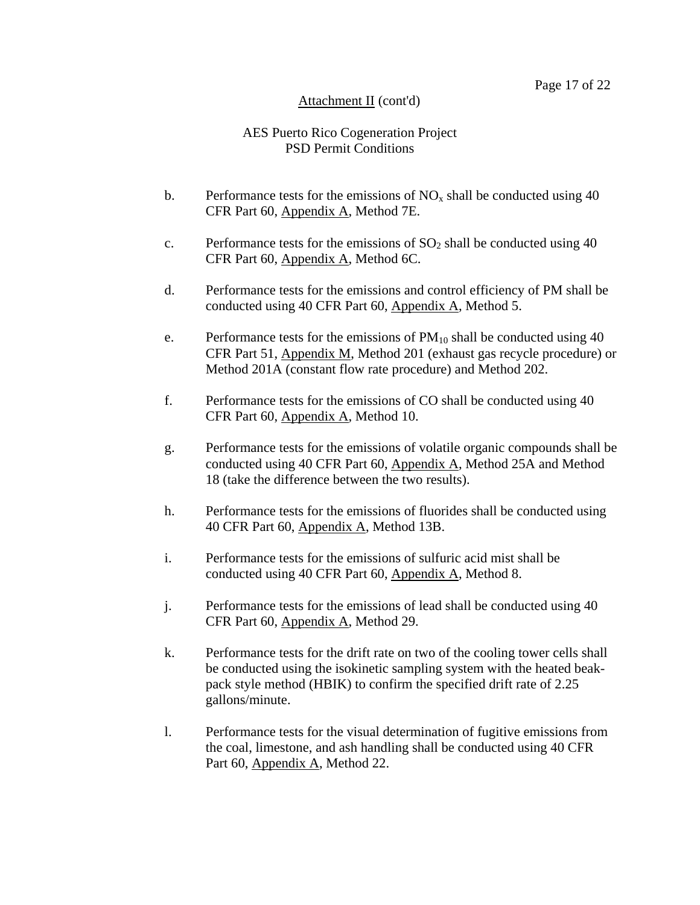## AES Puerto Rico Cogeneration Project PSD Permit Conditions

- b. Performance tests for the emissions of  $NO<sub>x</sub>$  shall be conducted using 40 CFR Part 60, Appendix A, Method 7E.
- c. Performance tests for the emissions of  $SO_2$  shall be conducted using 40 CFR Part 60, Appendix A, Method 6C.
- d. Performance tests for the emissions and control efficiency of PM shall be conducted using 40 CFR Part 60, Appendix A, Method 5.
- e. Performance tests for the emissions of  $PM_{10}$  shall be conducted using 40 CFR Part 51, Appendix M, Method 201 (exhaust gas recycle procedure) or Method 201A (constant flow rate procedure) and Method 202.
- f. Performance tests for the emissions of CO shall be conducted using 40 CFR Part 60, Appendix A, Method 10.
- g. Performance tests for the emissions of volatile organic compounds shall be conducted using 40 CFR Part 60, Appendix A, Method 25A and Method 18 (take the difference between the two results).
- h. Performance tests for the emissions of fluorides shall be conducted using 40 CFR Part 60, Appendix A, Method 13B.
- i. Performance tests for the emissions of sulfuric acid mist shall be conducted using 40 CFR Part 60, Appendix A, Method 8.
- j. Performance tests for the emissions of lead shall be conducted using 40 CFR Part 60, Appendix A, Method 29.
- k. Performance tests for the drift rate on two of the cooling tower cells shall be conducted using the isokinetic sampling system with the heated beakpack style method (HBIK) to confirm the specified drift rate of 2.25 gallons/minute.
- l. Performance tests for the visual determination of fugitive emissions from the coal, limestone, and ash handling shall be conducted using 40 CFR Part 60, Appendix A, Method 22.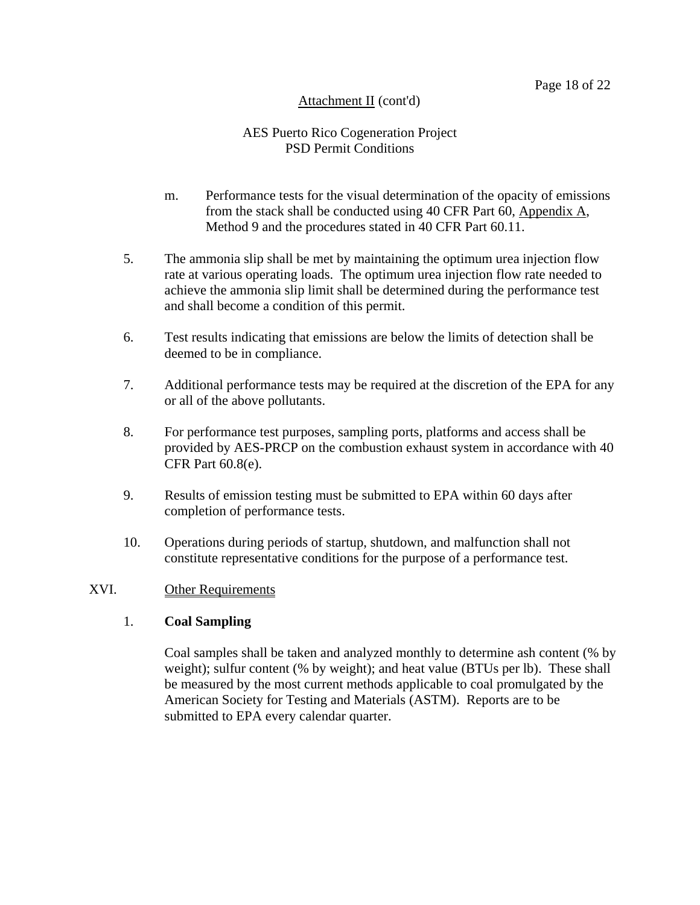## AES Puerto Rico Cogeneration Project PSD Permit Conditions

- m. Performance tests for the visual determination of the opacity of emissions from the stack shall be conducted using 40 CFR Part 60, Appendix A, Method 9 and the procedures stated in 40 CFR Part 60.11.
- 5. The ammonia slip shall be met by maintaining the optimum urea injection flow rate at various operating loads. The optimum urea injection flow rate needed to achieve the ammonia slip limit shall be determined during the performance test and shall become a condition of this permit.
- 6. Test results indicating that emissions are below the limits of detection shall be deemed to be in compliance.
- 7. Additional performance tests may be required at the discretion of the EPA for any or all of the above pollutants.
- 8. For performance test purposes, sampling ports, platforms and access shall be provided by AES-PRCP on the combustion exhaust system in accordance with 40 CFR Part 60.8(e).
- 9. Results of emission testing must be submitted to EPA within 60 days after completion of performance tests.
- 10. Operations during periods of startup, shutdown, and malfunction shall not constitute representative conditions for the purpose of a performance test.

#### XVI. Other Requirements

## 1. **Coal Sampling**

Coal samples shall be taken and analyzed monthly to determine ash content (% by weight); sulfur content (% by weight); and heat value (BTUs per lb). These shall be measured by the most current methods applicable to coal promulgated by the American Society for Testing and Materials (ASTM). Reports are to be submitted to EPA every calendar quarter.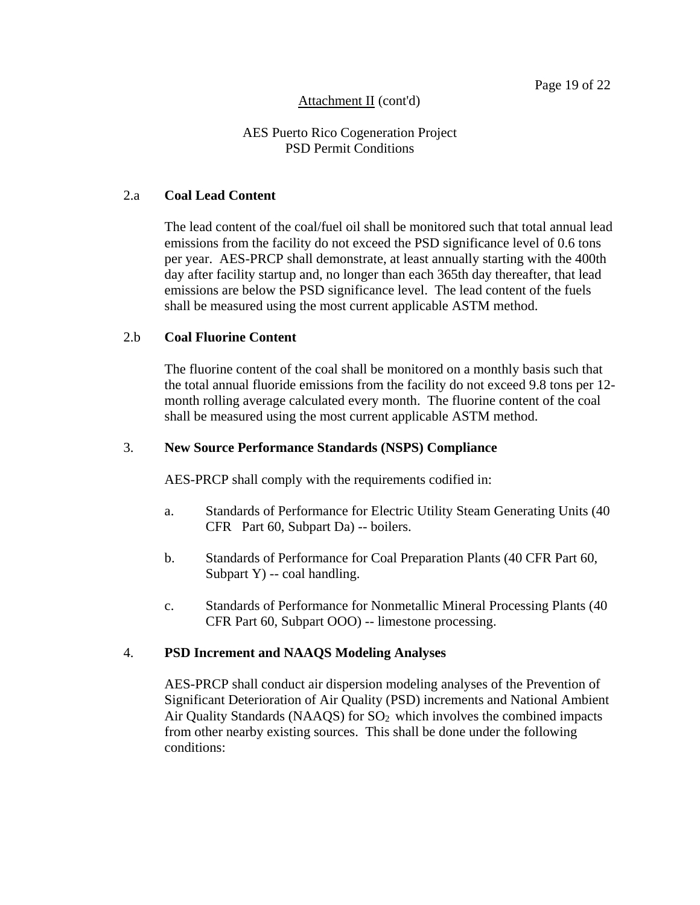## AES Puerto Rico Cogeneration Project PSD Permit Conditions

#### 2.a **Coal Lead Content**

The lead content of the coal/fuel oil shall be monitored such that total annual lead emissions from the facility do not exceed the PSD significance level of 0.6 tons per year. AES-PRCP shall demonstrate, at least annually starting with the 400th day after facility startup and, no longer than each 365th day thereafter, that lead emissions are below the PSD significance level. The lead content of the fuels shall be measured using the most current applicable ASTM method.

#### 2.b **Coal Fluorine Content**

The fluorine content of the coal shall be monitored on a monthly basis such that the total annual fluoride emissions from the facility do not exceed 9.8 tons per 12 month rolling average calculated every month. The fluorine content of the coal shall be measured using the most current applicable ASTM method.

#### 3. **New Source Performance Standards (NSPS) Compliance**

AES-PRCP shall comply with the requirements codified in:

- a. Standards of Performance for Electric Utility Steam Generating Units (40 CFR Part 60, Subpart Da) -- boilers.
- b. Standards of Performance for Coal Preparation Plants (40 CFR Part 60, Subpart Y) -- coal handling.
- c. Standards of Performance for Nonmetallic Mineral Processing Plants (40 CFR Part 60, Subpart OOO) -- limestone processing.

#### 4. **PSD Increment and NAAQS Modeling Analyses**

AES-PRCP shall conduct air dispersion modeling analyses of the Prevention of Significant Deterioration of Air Quality (PSD) increments and National Ambient Air Quality Standards (NAAQS) for  $SO<sub>2</sub>$  which involves the combined impacts from other nearby existing sources. This shall be done under the following conditions: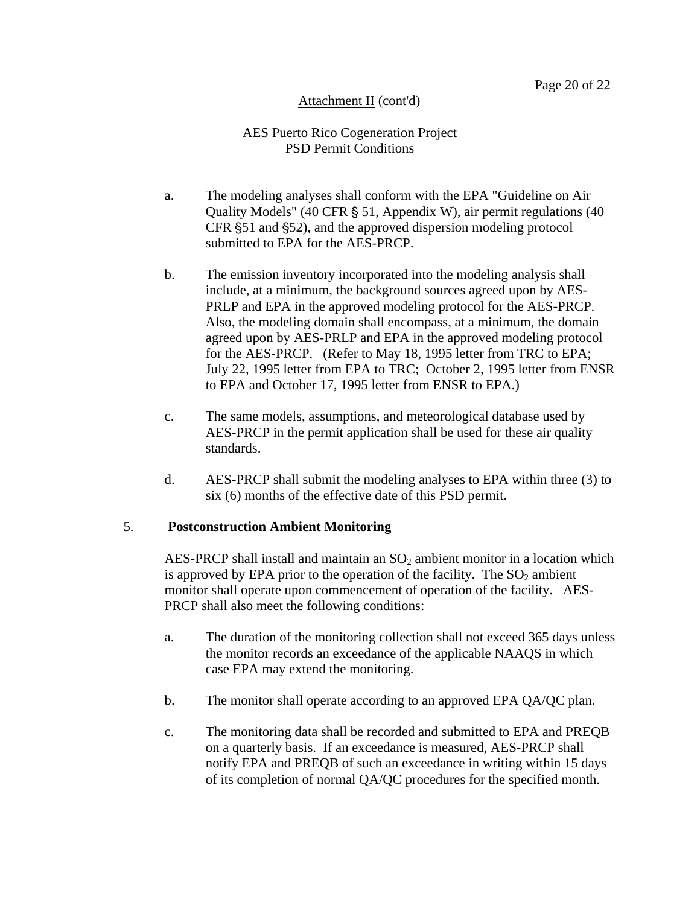## AES Puerto Rico Cogeneration Project PSD Permit Conditions

- a. The modeling analyses shall conform with the EPA "Guideline on Air Quality Models" (40 CFR  $\S$  51, Appendix W), air permit regulations (40 CFR  $\S$ 51 and  $\S$ 52), and the approved dispersion modeling protocol submitted to EPA for the AES-PRCP.
- b. The emission inventory incorporated into the modeling analysis shall include, at a minimum, the background sources agreed upon by AES-PRLP and EPA in the approved modeling protocol for the AES-PRCP. Also, the modeling domain shall encompass, at a minimum, the domain agreed upon by AES-PRLP and EPA in the approved modeling protocol for the AES-PRCP. (Refer to May 18, 1995 letter from TRC to EPA; July 22, 1995 letter from EPA to TRC; October 2, 1995 letter from ENSR to EPA and October 17, 1995 letter from ENSR to EPA.)
- c. The same models, assumptions, and meteorological database used by AES-PRCP in the permit application shall be used for these air quality standards.
- d. AES-PRCP shall submit the modeling analyses to EPA within three (3) to six (6) months of the effective date of this PSD permit.

#### 5. **Postconstruction Ambient Monitoring**

AES-PRCP shall install and maintain an  $SO_2$  ambient monitor in a location which is approved by EPA prior to the operation of the facility. The  $SO<sub>2</sub>$  ambient monitor shall operate upon commencement of operation of the facility. AES-PRCP shall also meet the following conditions:

- a. The duration of the monitoring collection shall not exceed 365 days unless the monitor records an exceedance of the applicable NAAQS in which case EPA may extend the monitoring.
- b. The monitor shall operate according to an approved EPA QA/QC plan.
- c. The monitoring data shall be recorded and submitted to EPA and PREQB on a quarterly basis. If an exceedance is measured, AES-PRCP shall notify EPA and PREQB of such an exceedance in writing within 15 days of its completion of normal QA/QC procedures for the specified month.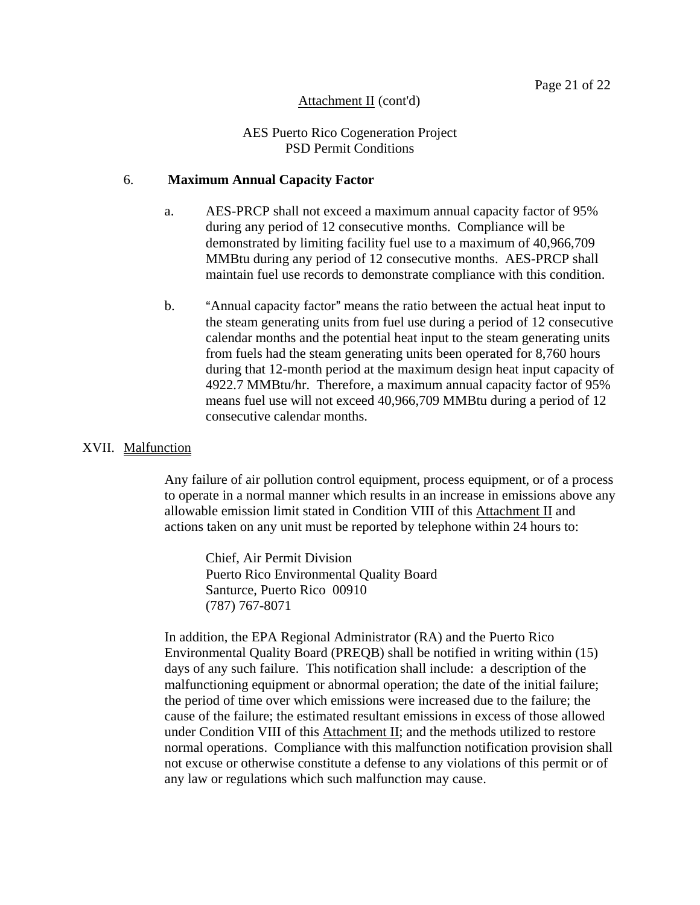## AES Puerto Rico Cogeneration Project PSD Permit Conditions

#### 6. **Maximum Annual Capacity Factor**

- a. AES-PRCP shall not exceed a maximum annual capacity factor of 95% during any period of 12 consecutive months. Compliance will be demonstrated by limiting facility fuel use to a maximum of 40,966,709 MMBtu during any period of 12 consecutive months. AES-PRCP shall maintain fuel use records to demonstrate compliance with this condition.
- b. "Annual capacity factor" means the ratio between the actual heat input to the steam generating units from fuel use during a period of 12 consecutive calendar months and the potential heat input to the steam generating units from fuels had the steam generating units been operated for 8,760 hours during that 12-month period at the maximum design heat input capacity of 4922.7 MMBtu/hr. Therefore, a maximum annual capacity factor of 95% means fuel use will not exceed 40,966,709 MMBtu during a period of 12 consecutive calendar months.

#### XVII. Malfunction

Any failure of air pollution control equipment, process equipment, or of a process to operate in a normal manner which results in an increase in emissions above any allowable emission limit stated in Condition VIII of this Attachment II and actions taken on any unit must be reported by telephone within 24 hours to:

Chief, Air Permit Division Puerto Rico Environmental Quality Board Santurce, Puerto Rico 00910 (787) 767-8071

In addition, the EPA Regional Administrator (RA) and the Puerto Rico Environmental Quality Board (PREQB) shall be notified in writing within (15) days of any such failure. This notification shall include: a description of the malfunctioning equipment or abnormal operation; the date of the initial failure; the period of time over which emissions were increased due to the failure; the cause of the failure; the estimated resultant emissions in excess of those allowed under Condition VIII of this Attachment II; and the methods utilized to restore normal operations. Compliance with this malfunction notification provision shall not excuse or otherwise constitute a defense to any violations of this permit or of any law or regulations which such malfunction may cause.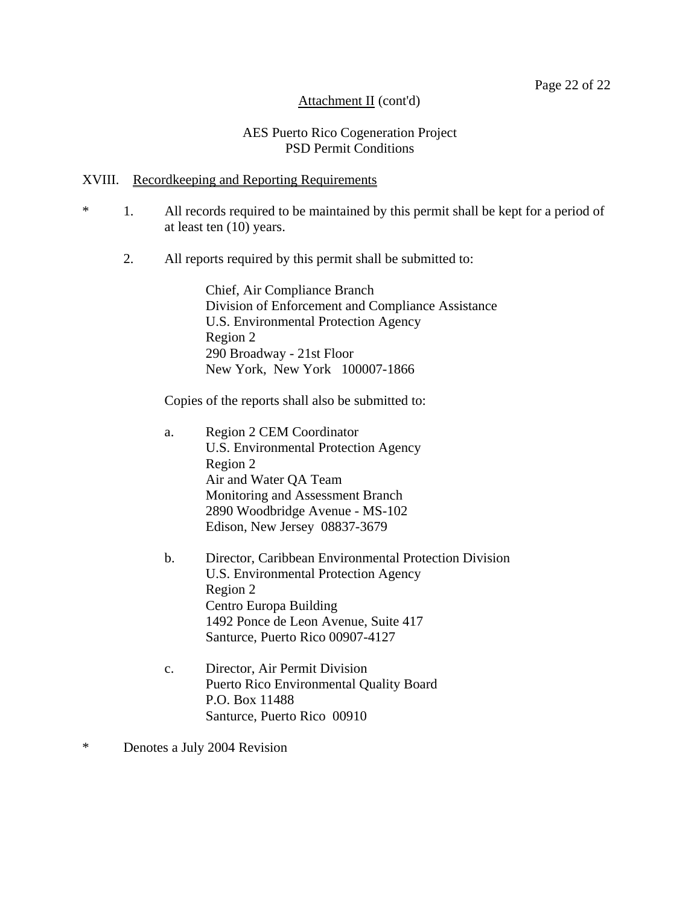#### AES Puerto Rico Cogeneration Project PSD Permit Conditions

#### XVIII. Recordkeeping and Reporting Requirements

- \* 1. All records required to be maintained by this permit shall be kept for a period of at least ten (10) years.
	- 2. All reports required by this permit shall be submitted to:

Chief, Air Compliance Branch Division of Enforcement and Compliance Assistance U.S. Environmental Protection Agency Region 2 290 Broadway - 21st Floor New York, New York 100007-1866

Copies of the reports shall also be submitted to:

- a. Region 2 CEM Coordinator U.S. Environmental Protection Agency Region 2 Air and Water QA Team Monitoring and Assessment Branch 2890 Woodbridge Avenue - MS-102 Edison, New Jersey 08837-3679
- b. Director, Caribbean Environmental Protection Division U.S. Environmental Protection Agency Region 2 Centro Europa Building 1492 Ponce de Leon Avenue, Suite 417 Santurce, Puerto Rico 00907-4127
- c. Director, Air Permit Division Puerto Rico Environmental Quality Board P.O. Box 11488 Santurce, Puerto Rico 00910
- \* Denotes a July 2004 Revision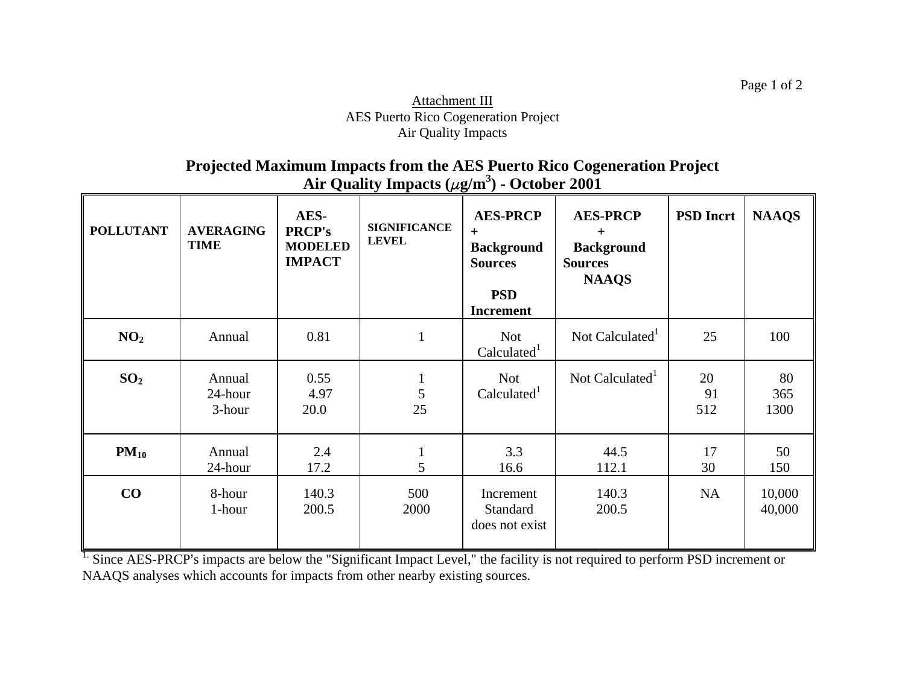## Attachment III AES Puerto Rico Cogeneration Project Air Quality Impacts

**Projected Maximum Impacts from the AES Puerto Rico Cogeneration Project Air Quality Impacts (** <sup>F</sup>**g/m3) - October 2001**

| <b>POLLUTANT</b> | <b>AVERAGING</b><br><b>TIME</b> | AES-<br><b>PRCP's</b><br><b>MODELED</b><br><b>IMPACT</b> | <b>SIGNIFICANCE</b><br><b>LEVEL</b> | <b>AES-PRCP</b><br>$+$<br><b>Background</b><br><b>Sources</b><br><b>PSD</b><br><b>Increment</b> | <b>AES-PRCP</b><br>$+$<br><b>Background</b><br><b>Sources</b><br><b>NAAQS</b> | <b>PSD</b> Incrt | <b>NAAQS</b>      |
|------------------|---------------------------------|----------------------------------------------------------|-------------------------------------|-------------------------------------------------------------------------------------------------|-------------------------------------------------------------------------------|------------------|-------------------|
| NO <sub>2</sub>  | Annual                          | 0.81                                                     | $\mathbf{1}$                        | <b>Not</b><br>Calculated <sup>1</sup>                                                           | Not Calculated <sup>1</sup>                                                   | 25               | 100               |
| SO <sub>2</sub>  | Annual<br>24-hour<br>3-hour     | 0.55<br>4.97<br>20.0                                     | 5<br>25                             | <b>Not</b><br>Calculated <sup>1</sup>                                                           | Not Calculated <sup>1</sup>                                                   | 20<br>91<br>512  | 80<br>365<br>1300 |
| $PM_{10}$        | Annual<br>24-hour               | 2.4<br>17.2                                              | $\mathbf{1}$<br>5                   | 3.3<br>16.6                                                                                     | 44.5<br>112.1                                                                 | 17<br>30         | 50<br>150         |
| CO               | 8-hour<br>1-hour                | 140.3<br>200.5                                           | 500<br>2000                         | Increment<br><b>Standard</b><br>does not exist                                                  | 140.3<br>200.5                                                                | NA               | 10,000<br>40,000  |

<sup>1.</sup> Since AES-PRCP's impacts are below the "Significant Impact Level," the facility is not required to perform PSD increment or NAAQS analyses which accounts for impacts from other nearby existing sources.